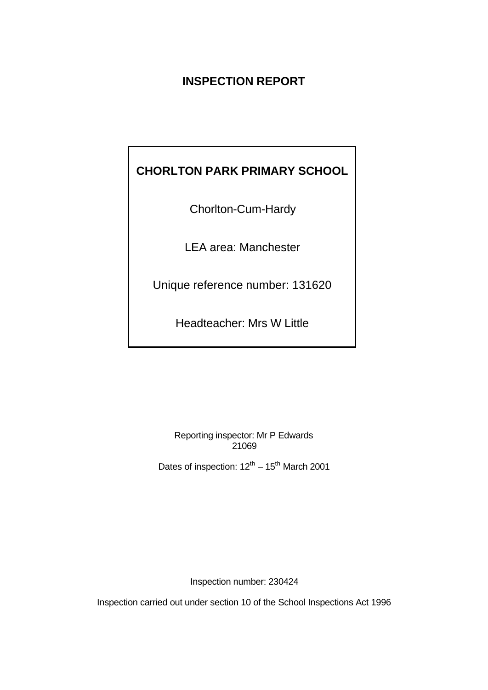# **INSPECTION REPORT**

# **CHORLTON PARK PRIMARY SCHOOL**

Chorlton-Cum-Hardy

LEA area: Manchester

Unique reference number: 131620

Headteacher: Mrs W Little

Reporting inspector: Mr P Edwards 21069

Dates of inspection:  $12^{th} - 15^{th}$  March 2001

Inspection number: 230424

Inspection carried out under section 10 of the School Inspections Act 1996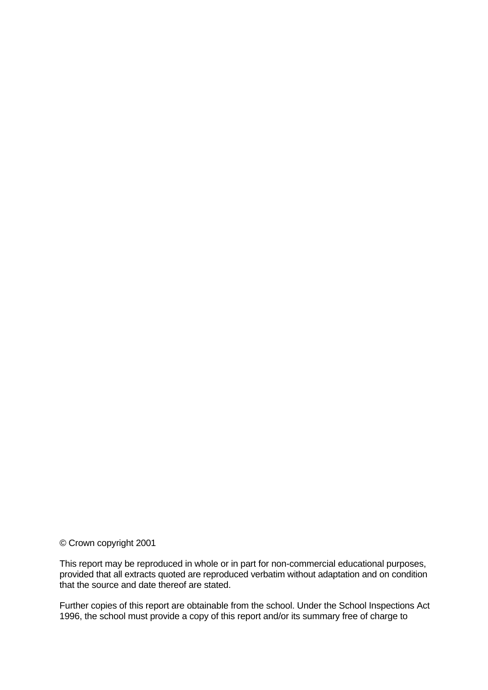© Crown copyright 2001

This report may be reproduced in whole or in part for non-commercial educational purposes, provided that all extracts quoted are reproduced verbatim without adaptation and on condition that the source and date thereof are stated.

Further copies of this report are obtainable from the school. Under the School Inspections Act 1996, the school must provide a copy of this report and/or its summary free of charge to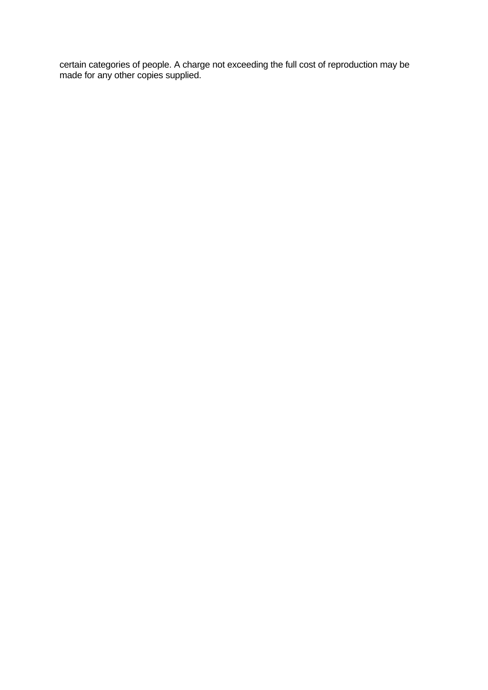certain categories of people. A charge not exceeding the full cost of reproduction may be made for any other copies supplied.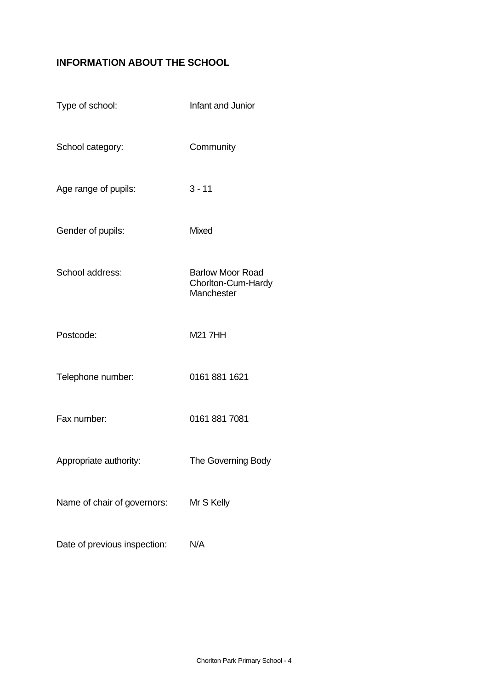# **INFORMATION ABOUT THE SCHOOL**

| Type of school:              | Infant and Junior                                           |
|------------------------------|-------------------------------------------------------------|
| School category:             | Community                                                   |
| Age range of pupils:         | $3 - 11$                                                    |
| Gender of pupils:            | Mixed                                                       |
| School address:              | <b>Barlow Moor Road</b><br>Chorlton-Cum-Hardy<br>Manchester |
| Postcode:                    | <b>M21 7HH</b>                                              |
| Telephone number:            | 0161 881 1621                                               |
| Fax number:                  | 0161 881 7081                                               |
| Appropriate authority:       | The Governing Body                                          |
| Name of chair of governors:  | Mr S Kelly                                                  |
| Date of previous inspection: | N/A                                                         |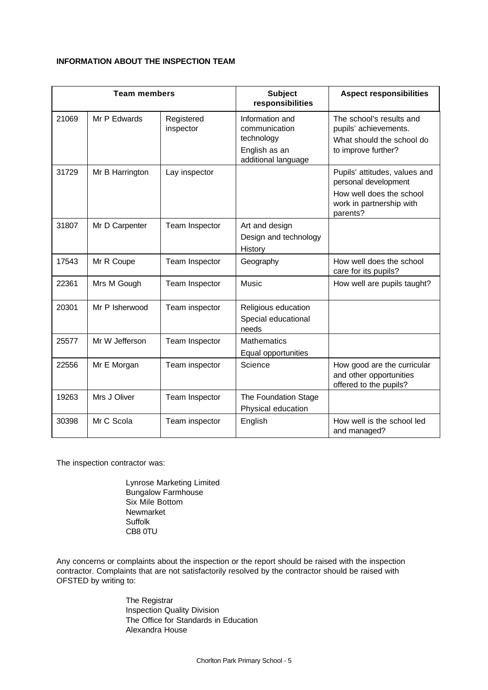#### **INFORMATION ABOUT THE INSPECTION TEAM**

| <b>Team members</b> |                 | <b>Subject</b><br>responsibilities | <b>Aspect responsibilities</b>                                                         |                                                                                                                           |
|---------------------|-----------------|------------------------------------|----------------------------------------------------------------------------------------|---------------------------------------------------------------------------------------------------------------------------|
| 21069               | Mr P Edwards    | Registered<br>inspector            | Information and<br>communication<br>technology<br>English as an<br>additional language | The school's results and<br>pupils' achievements.<br>What should the school do<br>to improve further?                     |
| 31729               | Mr B Harrington | Lay inspector                      |                                                                                        | Pupils' attitudes, values and<br>personal development<br>How well does the school<br>work in partnership with<br>parents? |
| 31807               | Mr D Carpenter  | Team Inspector                     | Art and design<br>Design and technology<br>History                                     |                                                                                                                           |
| 17543               | Mr R Coupe      | Team Inspector                     | Geography                                                                              | How well does the school<br>care for its pupils?                                                                          |
| 22361               | Mrs M Gough     | Team Inspector                     | Music                                                                                  | How well are pupils taught?                                                                                               |
| 20301               | Mr P Isherwood  | Team inspector                     | Religious education<br>Special educational<br>needs                                    |                                                                                                                           |
| 25577               | Mr W Jefferson  | Team Inspector                     | <b>Mathematics</b><br>Equal opportunities                                              |                                                                                                                           |
| 22556               | Mr E Morgan     | Team inspector                     | Science                                                                                | How good are the curricular<br>and other opportunities<br>offered to the pupils?                                          |
| 19263               | Mrs J Oliver    | Team Inspector                     | The Foundation Stage<br>Physical education                                             |                                                                                                                           |
| 30398               | Mr C Scola      | Team inspector                     | English                                                                                | How well is the school led<br>and managed?                                                                                |

The inspection contractor was:

Lynrose Marketing Limited Bungalow Farmhouse Six Mile Bottom Newmarket Suffolk CB8 0TU

Any concerns or complaints about the inspection or the report should be raised with the inspection contractor. Complaints that are not satisfactorily resolved by the contractor should be raised with OFSTED by writing to:

> The Registrar Inspection Quality Division The Office for Standards in Education Alexandra House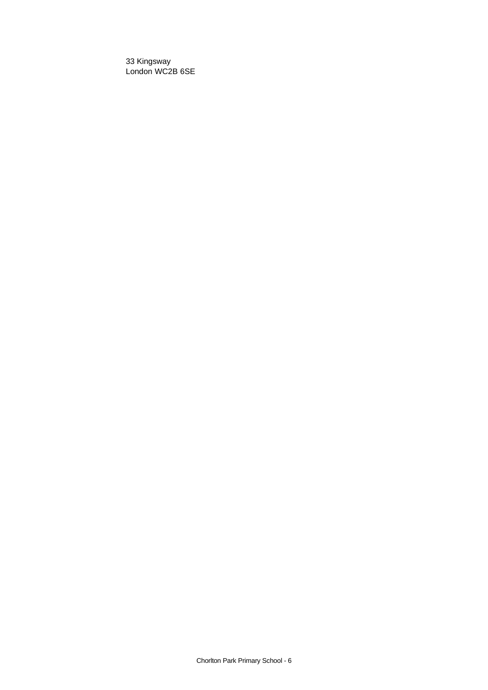33 Kingsway London WC2B 6SE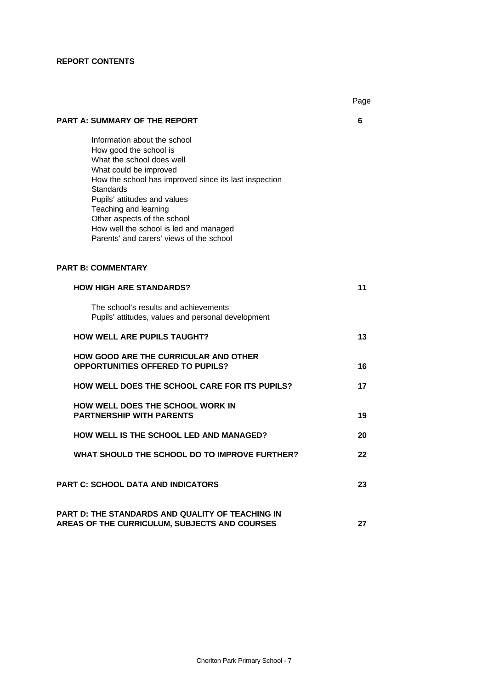## **REPORT CONTENTS**

|                                                                                                                                                                                                                                                                                                                                                                   | Page |
|-------------------------------------------------------------------------------------------------------------------------------------------------------------------------------------------------------------------------------------------------------------------------------------------------------------------------------------------------------------------|------|
| <b>PART A: SUMMARY OF THE REPORT</b>                                                                                                                                                                                                                                                                                                                              | 6    |
| Information about the school<br>How good the school is<br>What the school does well<br>What could be improved<br>How the school has improved since its last inspection<br>Standards<br>Pupils' attitudes and values<br>Teaching and learning<br>Other aspects of the school<br>How well the school is led and managed<br>Parents' and carers' views of the school |      |
| <b>PART B: COMMENTARY</b>                                                                                                                                                                                                                                                                                                                                         |      |
| <b>HOW HIGH ARE STANDARDS?</b>                                                                                                                                                                                                                                                                                                                                    | 11   |
| The school's results and achievements<br>Pupils' attitudes, values and personal development                                                                                                                                                                                                                                                                       |      |
| <b>HOW WELL ARE PUPILS TAUGHT?</b>                                                                                                                                                                                                                                                                                                                                | 13   |
| <b>HOW GOOD ARE THE CURRICULAR AND OTHER</b><br><b>OPPORTUNITIES OFFERED TO PUPILS?</b>                                                                                                                                                                                                                                                                           | 16   |
| <b>HOW WELL DOES THE SCHOOL CARE FOR ITS PUPILS?</b>                                                                                                                                                                                                                                                                                                              | 17   |
| HOW WELL DOES THE SCHOOL WORK IN<br><b>PARTNERSHIP WITH PARENTS</b>                                                                                                                                                                                                                                                                                               | 19   |
| HOW WELL IS THE SCHOOL LED AND MANAGED?                                                                                                                                                                                                                                                                                                                           | 20   |
| WHAT SHOULD THE SCHOOL DO TO IMPROVE FURTHER?                                                                                                                                                                                                                                                                                                                     | 22   |
| <b>PART C: SCHOOL DATA AND INDICATORS</b>                                                                                                                                                                                                                                                                                                                         | 23   |
| <b>PART D: THE STANDARDS AND QUALITY OF TEACHING IN</b><br>AREAS OF THE CURRICULUM, SUBJECTS AND COURSES                                                                                                                                                                                                                                                          | 27   |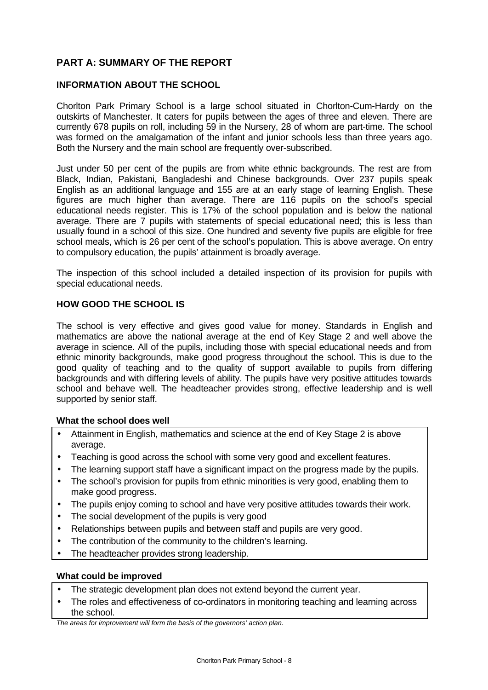## **PART A: SUMMARY OF THE REPORT**

## **INFORMATION ABOUT THE SCHOOL**

Chorlton Park Primary School is a large school situated in Chorlton-Cum-Hardy on the outskirts of Manchester. It caters for pupils between the ages of three and eleven. There are currently 678 pupils on roll, including 59 in the Nursery, 28 of whom are part-time. The school was formed on the amalgamation of the infant and junior schools less than three years ago. Both the Nursery and the main school are frequently over-subscribed.

Just under 50 per cent of the pupils are from white ethnic backgrounds. The rest are from Black, Indian, Pakistani, Bangladeshi and Chinese backgrounds. Over 237 pupils speak English as an additional language and 155 are at an early stage of learning English. These figures are much higher than average. There are 116 pupils on the school's special educational needs register. This is 17% of the school population and is below the national average. There are 7 pupils with statements of special educational need; this is less than usually found in a school of this size. One hundred and seventy five pupils are eligible for free school meals, which is 26 per cent of the school's population. This is above average. On entry to compulsory education, the pupils' attainment is broadly average.

The inspection of this school included a detailed inspection of its provision for pupils with special educational needs.

## **HOW GOOD THE SCHOOL IS**

The school is very effective and gives good value for money. Standards in English and mathematics are above the national average at the end of Key Stage 2 and well above the average in science. All of the pupils, including those with special educational needs and from ethnic minority backgrounds, make good progress throughout the school. This is due to the good quality of teaching and to the quality of support available to pupils from differing backgrounds and with differing levels of ability. The pupils have very positive attitudes towards school and behave well. The headteacher provides strong, effective leadership and is well supported by senior staff.

## **What the school does well**

- Attainment in English, mathematics and science at the end of Key Stage 2 is above average.
- Teaching is good across the school with some very good and excellent features.
- The learning support staff have a significant impact on the progress made by the pupils.
- The school's provision for pupils from ethnic minorities is very good, enabling them to make good progress.
- The pupils enjoy coming to school and have very positive attitudes towards their work.
- The social development of the pupils is very good
- Relationships between pupils and between staff and pupils are very good.
- The contribution of the community to the children's learning.
- The headteacher provides strong leadership.

#### **What could be improved**

- The strategic development plan does not extend beyond the current year.
- The roles and effectiveness of co-ordinators in monitoring teaching and learning across the school.

*The areas for improvement will form the basis of the governors' action plan.*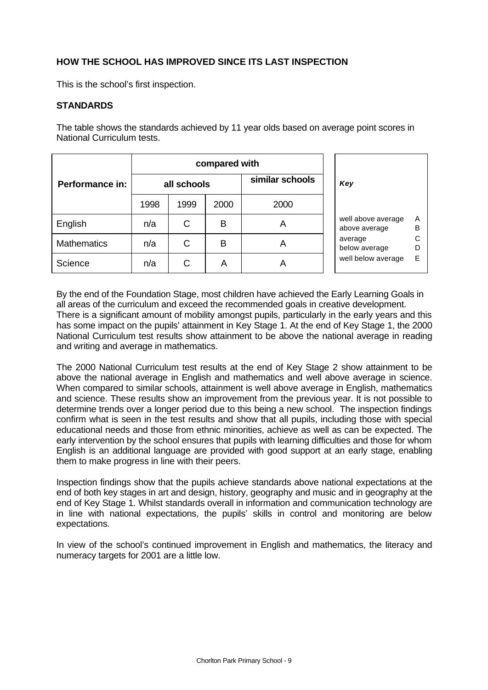## **HOW THE SCHOOL HAS IMPROVED SINCE ITS LAST INSPECTION**

This is the school's first inspection.

## **STANDARDS**

The table shows the standards achieved by 11 year olds based on average point scores in National Curriculum tests.

|                    |             | compared with |      |                 |                                     |        |
|--------------------|-------------|---------------|------|-----------------|-------------------------------------|--------|
| Performance in:    | all schools |               |      | similar schools | Key                                 |        |
|                    | 1998        | 1999          | 2000 | 2000            |                                     |        |
| English            | n/a         | C             | В    | A               | well above average<br>above average | Α<br>B |
| <b>Mathematics</b> | n/a         | С             | в    | A               | average<br>below average            | С<br>D |
| Science            | n/a         | С             | A    | Α               | well below average                  | E      |

By the end of the Foundation Stage, most children have achieved the Early Learning Goals in all areas of the curriculum and exceed the recommended goals in creative development. There is a significant amount of mobility amongst pupils, particularly in the early years and this has some impact on the pupils' attainment in Key Stage 1. At the end of Key Stage 1, the 2000 National Curriculum test results show attainment to be above the national average in reading and writing and average in mathematics.

The 2000 National Curriculum test results at the end of Key Stage 2 show attainment to be above the national average in English and mathematics and well above average in science. When compared to similar schools, attainment is well above average in English, mathematics and science. These results show an improvement from the previous year. It is not possible to determine trends over a longer period due to this being a new school. The inspection findings confirm what is seen in the test results and show that all pupils, including those with special educational needs and those from ethnic minorities, achieve as well as can be expected. The early intervention by the school ensures that pupils with learning difficulties and those for whom English is an additional language are provided with good support at an early stage, enabling them to make progress in line with their peers.

Inspection findings show that the pupils achieve standards above national expectations at the end of both key stages in art and design, history, geography and music and in geography at the end of Key Stage 1. Whilst standards overall in information and communication technology are in line with national expectations, the pupils' skills in control and monitoring are below expectations.

In view of the school's continued improvement in English and mathematics, the literacy and numeracy targets for 2001 are a little low.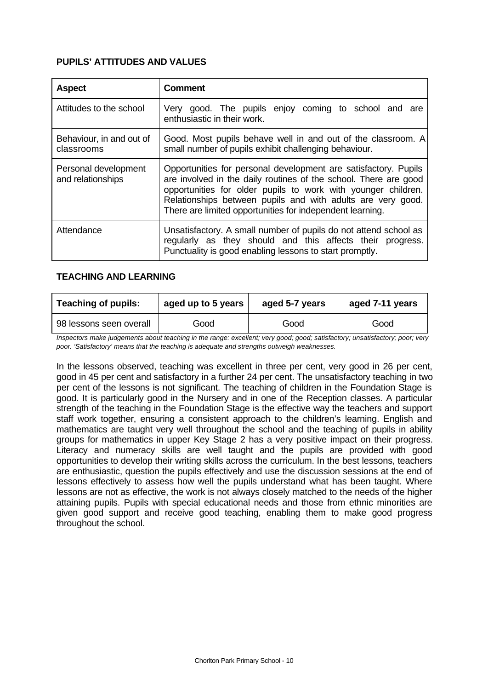## **PUPILS' ATTITUDES AND VALUES**

| <b>Aspect</b>                             | <b>Comment</b>                                                                                                                                                                                                                                                                                                                   |
|-------------------------------------------|----------------------------------------------------------------------------------------------------------------------------------------------------------------------------------------------------------------------------------------------------------------------------------------------------------------------------------|
| Attitudes to the school                   | Very good. The pupils enjoy coming to school and are<br>enthusiastic in their work.                                                                                                                                                                                                                                              |
| Behaviour, in and out of<br>classrooms    | Good. Most pupils behave well in and out of the classroom. A<br>small number of pupils exhibit challenging behaviour.                                                                                                                                                                                                            |
| Personal development<br>and relationships | Opportunities for personal development are satisfactory. Pupils<br>are involved in the daily routines of the school. There are good<br>opportunities for older pupils to work with younger children.<br>Relationships between pupils and with adults are very good.<br>There are limited opportunities for independent learning. |
| Attendance                                | Unsatisfactory. A small number of pupils do not attend school as<br>regularly as they should and this affects their progress.<br>Punctuality is good enabling lessons to start promptly.                                                                                                                                         |

## **TEACHING AND LEARNING**

| <b>Teaching of pupils:</b><br>aged up to 5 years |      | aged 5-7 years | aged 7-11 years |  |
|--------------------------------------------------|------|----------------|-----------------|--|
| 98 lessons seen overall                          | Good | Good           | Good            |  |

*Inspectors make judgements about teaching in the range: excellent; very good; good; satisfactory; unsatisfactory; poor; very poor. 'Satisfactory' means that the teaching is adequate and strengths outweigh weaknesses.*

In the lessons observed, teaching was excellent in three per cent, very good in 26 per cent, good in 45 per cent and satisfactory in a further 24 per cent. The unsatisfactory teaching in two per cent of the lessons is not significant. The teaching of children in the Foundation Stage is good. It is particularly good in the Nursery and in one of the Reception classes. A particular strength of the teaching in the Foundation Stage is the effective way the teachers and support staff work together, ensuring a consistent approach to the children's learning. English and mathematics are taught very well throughout the school and the teaching of pupils in ability groups for mathematics in upper Key Stage 2 has a very positive impact on their progress. Literacy and numeracy skills are well taught and the pupils are provided with good opportunities to develop their writing skills across the curriculum. In the best lessons, teachers are enthusiastic, question the pupils effectively and use the discussion sessions at the end of lessons effectively to assess how well the pupils understand what has been taught. Where lessons are not as effective, the work is not always closely matched to the needs of the higher attaining pupils. Pupils with special educational needs and those from ethnic minorities are given good support and receive good teaching, enabling them to make good progress throughout the school.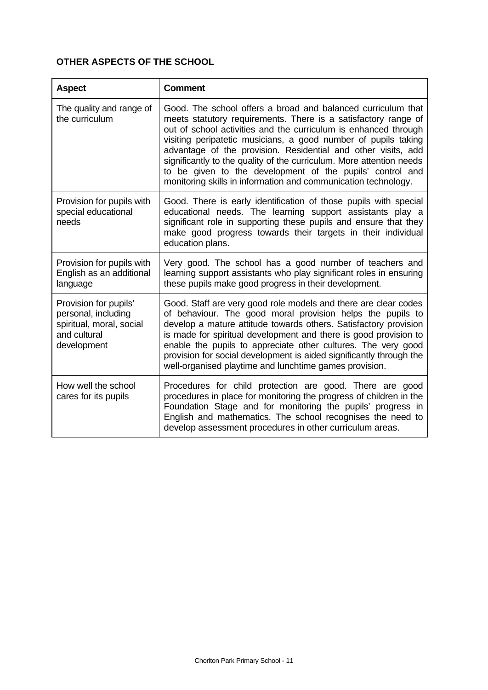## **OTHER ASPECTS OF THE SCHOOL**

| <b>Aspect</b>                                                                                           | <b>Comment</b>                                                                                                                                                                                                                                                                                                                                                                                                                                                                                                                              |
|---------------------------------------------------------------------------------------------------------|---------------------------------------------------------------------------------------------------------------------------------------------------------------------------------------------------------------------------------------------------------------------------------------------------------------------------------------------------------------------------------------------------------------------------------------------------------------------------------------------------------------------------------------------|
| The quality and range of<br>the curriculum                                                              | Good. The school offers a broad and balanced curriculum that<br>meets statutory requirements. There is a satisfactory range of<br>out of school activities and the curriculum is enhanced through<br>visiting peripatetic musicians, a good number of pupils taking<br>advantage of the provision. Residential and other visits, add<br>significantly to the quality of the curriculum. More attention needs<br>to be given to the development of the pupils' control and<br>monitoring skills in information and communication technology. |
| Provision for pupils with<br>special educational<br>needs                                               | Good. There is early identification of those pupils with special<br>educational needs. The learning support assistants play a<br>significant role in supporting these pupils and ensure that they<br>make good progress towards their targets in their individual<br>education plans.                                                                                                                                                                                                                                                       |
| Provision for pupils with<br>English as an additional<br>language                                       | Very good. The school has a good number of teachers and<br>learning support assistants who play significant roles in ensuring<br>these pupils make good progress in their development.                                                                                                                                                                                                                                                                                                                                                      |
| Provision for pupils'<br>personal, including<br>spiritual, moral, social<br>and cultural<br>development | Good. Staff are very good role models and there are clear codes<br>of behaviour. The good moral provision helps the pupils to<br>develop a mature attitude towards others. Satisfactory provision<br>is made for spiritual development and there is good provision to<br>enable the pupils to appreciate other cultures. The very good<br>provision for social development is aided significantly through the<br>well-organised playtime and lunchtime games provision.                                                                     |
| How well the school<br>cares for its pupils                                                             | Procedures for child protection are good. There are good<br>procedures in place for monitoring the progress of children in the<br>Foundation Stage and for monitoring the pupils' progress in<br>English and mathematics. The school recognises the need to<br>develop assessment procedures in other curriculum areas.                                                                                                                                                                                                                     |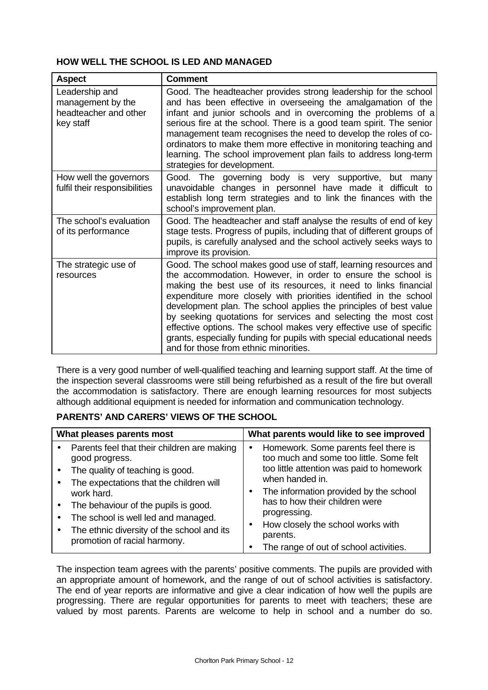## **HOW WELL THE SCHOOL IS LED AND MANAGED**

| <b>Aspect</b>                                                             | <b>Comment</b>                                                                                                                                                                                                                                                                                                                                                                                                                                                                                                                                                                                          |
|---------------------------------------------------------------------------|---------------------------------------------------------------------------------------------------------------------------------------------------------------------------------------------------------------------------------------------------------------------------------------------------------------------------------------------------------------------------------------------------------------------------------------------------------------------------------------------------------------------------------------------------------------------------------------------------------|
| Leadership and<br>management by the<br>headteacher and other<br>key staff | Good. The headteacher provides strong leadership for the school<br>and has been effective in overseeing the amalgamation of the<br>infant and junior schools and in overcoming the problems of a<br>serious fire at the school. There is a good team spirit. The senior<br>management team recognises the need to develop the roles of co-<br>ordinators to make them more effective in monitoring teaching and<br>learning. The school improvement plan fails to address long-term<br>strategies for development.                                                                                      |
| How well the governors<br>fulfil their responsibilities                   | Good. The governing body is very supportive, but many<br>unavoidable changes in personnel have made it difficult to<br>establish long term strategies and to link the finances with the<br>school's improvement plan.                                                                                                                                                                                                                                                                                                                                                                                   |
| The school's evaluation<br>of its performance                             | Good. The headteacher and staff analyse the results of end of key<br>stage tests. Progress of pupils, including that of different groups of<br>pupils, is carefully analysed and the school actively seeks ways to<br>improve its provision.                                                                                                                                                                                                                                                                                                                                                            |
| The strategic use of<br>resources                                         | Good. The school makes good use of staff, learning resources and<br>the accommodation. However, in order to ensure the school is<br>making the best use of its resources, it need to links financial<br>expenditure more closely with priorities identified in the school<br>development plan. The school applies the principles of best value<br>by seeking quotations for services and selecting the most cost<br>effective options. The school makes very effective use of specific<br>grants, especially funding for pupils with special educational needs<br>and for those from ethnic minorities. |

There is a very good number of well-qualified teaching and learning support staff. At the time of the inspection several classrooms were still being refurbished as a result of the fire but overall the accommodation is satisfactory. There are enough learning resources for most subjects although additional equipment is needed for information and communication technology.

## **PARENTS' AND CARERS' VIEWS OF THE SCHOOL**

| What pleases parents most                                                                                                                                                                                                                                                               | What parents would like to see improved                                                                                                                                                                                                                                                      |  |  |
|-----------------------------------------------------------------------------------------------------------------------------------------------------------------------------------------------------------------------------------------------------------------------------------------|----------------------------------------------------------------------------------------------------------------------------------------------------------------------------------------------------------------------------------------------------------------------------------------------|--|--|
| Parents feel that their children are making<br>good progress.<br>The quality of teaching is good.<br>The expectations that the children will<br>work hard.<br>The behaviour of the pupils is good.<br>The school is well led and managed.<br>The ethnic diversity of the school and its | Homework. Some parents feel there is<br>too much and some too little. Some felt<br>too little attention was paid to homework<br>when handed in.<br>The information provided by the school<br>has to how their children were<br>progressing.<br>How closely the school works with<br>parents. |  |  |
| promotion of racial harmony.                                                                                                                                                                                                                                                            | The range of out of school activities.                                                                                                                                                                                                                                                       |  |  |

The inspection team agrees with the parents' positive comments. The pupils are provided with an appropriate amount of homework, and the range of out of school activities is satisfactory. The end of year reports are informative and give a clear indication of how well the pupils are progressing. There are regular opportunities for parents to meet with teachers; these are valued by most parents. Parents are welcome to help in school and a number do so.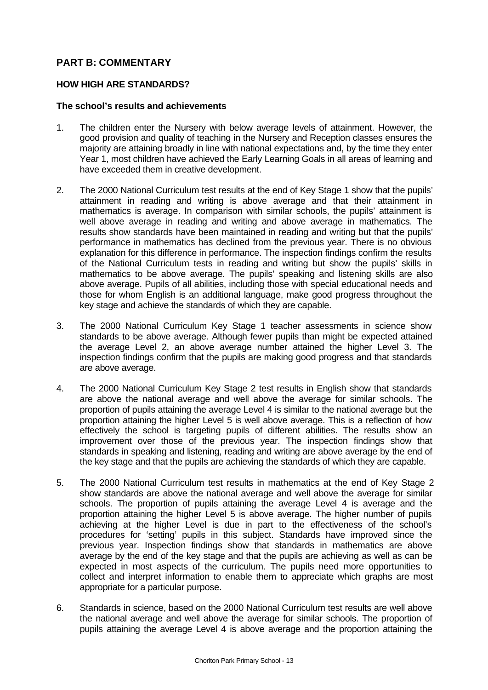## **PART B: COMMENTARY**

## **HOW HIGH ARE STANDARDS?**

#### **The school's results and achievements**

- 1. The children enter the Nursery with below average levels of attainment. However, the good provision and quality of teaching in the Nursery and Reception classes ensures the majority are attaining broadly in line with national expectations and, by the time they enter Year 1, most children have achieved the Early Learning Goals in all areas of learning and have exceeded them in creative development.
- 2. The 2000 National Curriculum test results at the end of Key Stage 1 show that the pupils' attainment in reading and writing is above average and that their attainment in mathematics is average. In comparison with similar schools, the pupils' attainment is well above average in reading and writing and above average in mathematics. The results show standards have been maintained in reading and writing but that the pupils' performance in mathematics has declined from the previous year. There is no obvious explanation for this difference in performance. The inspection findings confirm the results of the National Curriculum tests in reading and writing but show the pupils' skills in mathematics to be above average. The pupils' speaking and listening skills are also above average. Pupils of all abilities, including those with special educational needs and those for whom English is an additional language, make good progress throughout the key stage and achieve the standards of which they are capable.
- 3. The 2000 National Curriculum Key Stage 1 teacher assessments in science show standards to be above average. Although fewer pupils than might be expected attained the average Level 2, an above average number attained the higher Level 3. The inspection findings confirm that the pupils are making good progress and that standards are above average.
- 4. The 2000 National Curriculum Key Stage 2 test results in English show that standards are above the national average and well above the average for similar schools. The proportion of pupils attaining the average Level 4 is similar to the national average but the proportion attaining the higher Level 5 is well above average. This is a reflection of how effectively the school is targeting pupils of different abilities. The results show an improvement over those of the previous year. The inspection findings show that standards in speaking and listening, reading and writing are above average by the end of the key stage and that the pupils are achieving the standards of which they are capable.
- 5. The 2000 National Curriculum test results in mathematics at the end of Key Stage 2 show standards are above the national average and well above the average for similar schools. The proportion of pupils attaining the average Level 4 is average and the proportion attaining the higher Level 5 is above average. The higher number of pupils achieving at the higher Level is due in part to the effectiveness of the school's procedures for 'setting' pupils in this subject. Standards have improved since the previous year. Inspection findings show that standards in mathematics are above average by the end of the key stage and that the pupils are achieving as well as can be expected in most aspects of the curriculum. The pupils need more opportunities to collect and interpret information to enable them to appreciate which graphs are most appropriate for a particular purpose.
- 6. Standards in science, based on the 2000 National Curriculum test results are well above the national average and well above the average for similar schools. The proportion of pupils attaining the average Level 4 is above average and the proportion attaining the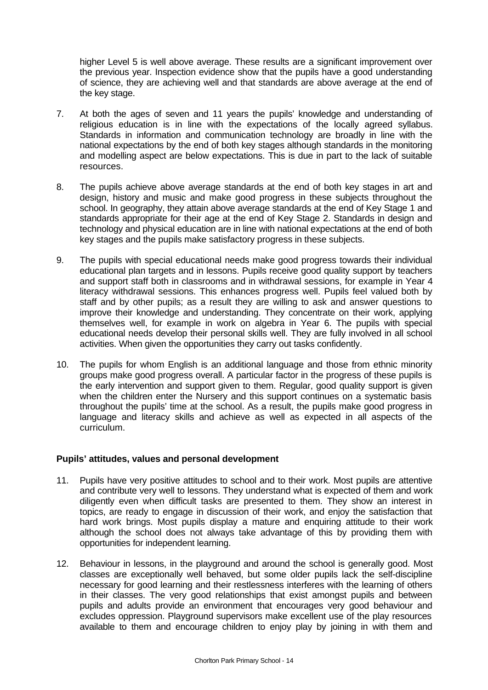higher Level 5 is well above average. These results are a significant improvement over the previous year. Inspection evidence show that the pupils have a good understanding of science, they are achieving well and that standards are above average at the end of the key stage.

- 7. At both the ages of seven and 11 years the pupils' knowledge and understanding of religious education is in line with the expectations of the locally agreed syllabus. Standards in information and communication technology are broadly in line with the national expectations by the end of both key stages although standards in the monitoring and modelling aspect are below expectations. This is due in part to the lack of suitable resources.
- 8. The pupils achieve above average standards at the end of both key stages in art and design, history and music and make good progress in these subjects throughout the school. In geography, they attain above average standards at the end of Key Stage 1 and standards appropriate for their age at the end of Key Stage 2. Standards in design and technology and physical education are in line with national expectations at the end of both key stages and the pupils make satisfactory progress in these subjects.
- 9. The pupils with special educational needs make good progress towards their individual educational plan targets and in lessons. Pupils receive good quality support by teachers and support staff both in classrooms and in withdrawal sessions, for example in Year 4 literacy withdrawal sessions. This enhances progress well. Pupils feel valued both by staff and by other pupils; as a result they are willing to ask and answer questions to improve their knowledge and understanding. They concentrate on their work, applying themselves well, for example in work on algebra in Year 6. The pupils with special educational needs develop their personal skills well. They are fully involved in all school activities. When given the opportunities they carry out tasks confidently.
- 10. The pupils for whom English is an additional language and those from ethnic minority groups make good progress overall. A particular factor in the progress of these pupils is the early intervention and support given to them. Regular, good quality support is given when the children enter the Nursery and this support continues on a systematic basis throughout the pupils' time at the school. As a result, the pupils make good progress in language and literacy skills and achieve as well as expected in all aspects of the curriculum.

## **Pupils' attitudes, values and personal development**

- 11. Pupils have very positive attitudes to school and to their work. Most pupils are attentive and contribute very well to lessons. They understand what is expected of them and work diligently even when difficult tasks are presented to them. They show an interest in topics, are ready to engage in discussion of their work, and enjoy the satisfaction that hard work brings. Most pupils display a mature and enquiring attitude to their work although the school does not always take advantage of this by providing them with opportunities for independent learning.
- 12. Behaviour in lessons, in the playground and around the school is generally good. Most classes are exceptionally well behaved, but some older pupils lack the self-discipline necessary for good learning and their restlessness interferes with the learning of others in their classes. The very good relationships that exist amongst pupils and between pupils and adults provide an environment that encourages very good behaviour and excludes oppression. Playground supervisors make excellent use of the play resources available to them and encourage children to enjoy play by joining in with them and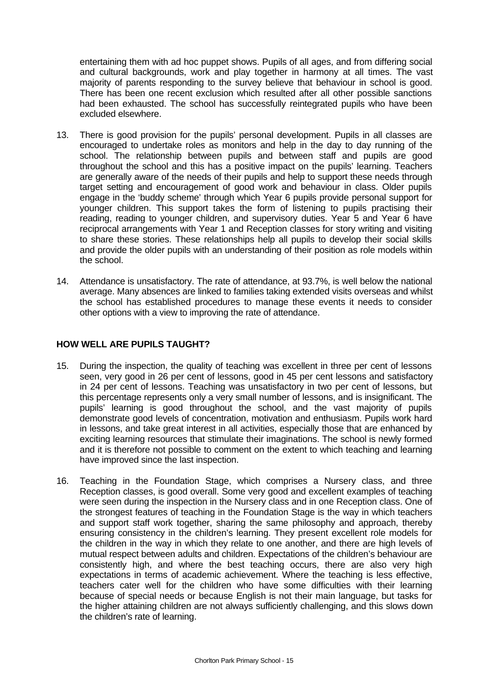entertaining them with ad hoc puppet shows. Pupils of all ages, and from differing social and cultural backgrounds, work and play together in harmony at all times. The vast majority of parents responding to the survey believe that behaviour in school is good. There has been one recent exclusion which resulted after all other possible sanctions had been exhausted. The school has successfully reintegrated pupils who have been excluded elsewhere.

- 13. There is good provision for the pupils' personal development. Pupils in all classes are encouraged to undertake roles as monitors and help in the day to day running of the school. The relationship between pupils and between staff and pupils are good throughout the school and this has a positive impact on the pupils' learning. Teachers are generally aware of the needs of their pupils and help to support these needs through target setting and encouragement of good work and behaviour in class. Older pupils engage in the 'buddy scheme' through which Year 6 pupils provide personal support for younger children. This support takes the form of listening to pupils practising their reading, reading to younger children, and supervisory duties. Year 5 and Year 6 have reciprocal arrangements with Year 1 and Reception classes for story writing and visiting to share these stories. These relationships help all pupils to develop their social skills and provide the older pupils with an understanding of their position as role models within the school.
- 14. Attendance is unsatisfactory. The rate of attendance, at 93.7%, is well below the national average. Many absences are linked to families taking extended visits overseas and whilst the school has established procedures to manage these events it needs to consider other options with a view to improving the rate of attendance.

#### **HOW WELL ARE PUPILS TAUGHT?**

- 15. During the inspection, the quality of teaching was excellent in three per cent of lessons seen, very good in 26 per cent of lessons, good in 45 per cent lessons and satisfactory in 24 per cent of lessons. Teaching was unsatisfactory in two per cent of lessons, but this percentage represents only a very small number of lessons, and is insignificant. The pupils' learning is good throughout the school, and the vast majority of pupils demonstrate good levels of concentration, motivation and enthusiasm. Pupils work hard in lessons, and take great interest in all activities, especially those that are enhanced by exciting learning resources that stimulate their imaginations. The school is newly formed and it is therefore not possible to comment on the extent to which teaching and learning have improved since the last inspection.
- 16. Teaching in the Foundation Stage, which comprises a Nursery class, and three Reception classes, is good overall. Some very good and excellent examples of teaching were seen during the inspection in the Nursery class and in one Reception class. One of the strongest features of teaching in the Foundation Stage is the way in which teachers and support staff work together, sharing the same philosophy and approach, thereby ensuring consistency in the children's learning. They present excellent role models for the children in the way in which they relate to one another, and there are high levels of mutual respect between adults and children. Expectations of the children's behaviour are consistently high, and where the best teaching occurs, there are also very high expectations in terms of academic achievement. Where the teaching is less effective, teachers cater well for the children who have some difficulties with their learning because of special needs or because English is not their main language, but tasks for the higher attaining children are not always sufficiently challenging, and this slows down the children's rate of learning.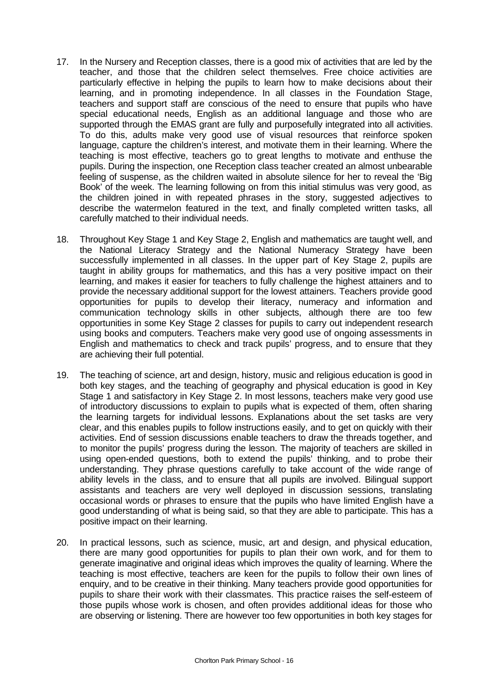- 17. In the Nursery and Reception classes, there is a good mix of activities that are led by the teacher, and those that the children select themselves. Free choice activities are particularly effective in helping the pupils to learn how to make decisions about their learning, and in promoting independence. In all classes in the Foundation Stage, teachers and support staff are conscious of the need to ensure that pupils who have special educational needs, English as an additional language and those who are supported through the EMAS grant are fully and purposefully integrated into all activities. To do this, adults make very good use of visual resources that reinforce spoken language, capture the children's interest, and motivate them in their learning. Where the teaching is most effective, teachers go to great lengths to motivate and enthuse the pupils. During the inspection, one Reception class teacher created an almost unbearable feeling of suspense, as the children waited in absolute silence for her to reveal the 'Big Book' of the week. The learning following on from this initial stimulus was very good, as the children joined in with repeated phrases in the story, suggested adjectives to describe the watermelon featured in the text, and finally completed written tasks, all carefully matched to their individual needs.
- 18. Throughout Key Stage 1 and Key Stage 2, English and mathematics are taught well, and the National Literacy Strategy and the National Numeracy Strategy have been successfully implemented in all classes. In the upper part of Key Stage 2, pupils are taught in ability groups for mathematics, and this has a very positive impact on their learning, and makes it easier for teachers to fully challenge the highest attainers and to provide the necessary additional support for the lowest attainers. Teachers provide good opportunities for pupils to develop their literacy, numeracy and information and communication technology skills in other subjects, although there are too few opportunities in some Key Stage 2 classes for pupils to carry out independent research using books and computers. Teachers make very good use of ongoing assessments in English and mathematics to check and track pupils' progress, and to ensure that they are achieving their full potential.
- 19. The teaching of science, art and design, history, music and religious education is good in both key stages, and the teaching of geography and physical education is good in Key Stage 1 and satisfactory in Key Stage 2. In most lessons, teachers make very good use of introductory discussions to explain to pupils what is expected of them, often sharing the learning targets for individual lessons. Explanations about the set tasks are very clear, and this enables pupils to follow instructions easily, and to get on quickly with their activities. End of session discussions enable teachers to draw the threads together, and to monitor the pupils' progress during the lesson. The majority of teachers are skilled in using open-ended questions, both to extend the pupils' thinking, and to probe their understanding. They phrase questions carefully to take account of the wide range of ability levels in the class, and to ensure that all pupils are involved. Bilingual support assistants and teachers are very well deployed in discussion sessions, translating occasional words or phrases to ensure that the pupils who have limited English have a good understanding of what is being said, so that they are able to participate. This has a positive impact on their learning.
- 20. In practical lessons, such as science, music, art and design, and physical education, there are many good opportunities for pupils to plan their own work, and for them to generate imaginative and original ideas which improves the quality of learning. Where the teaching is most effective, teachers are keen for the pupils to follow their own lines of enquiry, and to be creative in their thinking. Many teachers provide good opportunities for pupils to share their work with their classmates. This practice raises the self-esteem of those pupils whose work is chosen, and often provides additional ideas for those who are observing or listening. There are however too few opportunities in both key stages for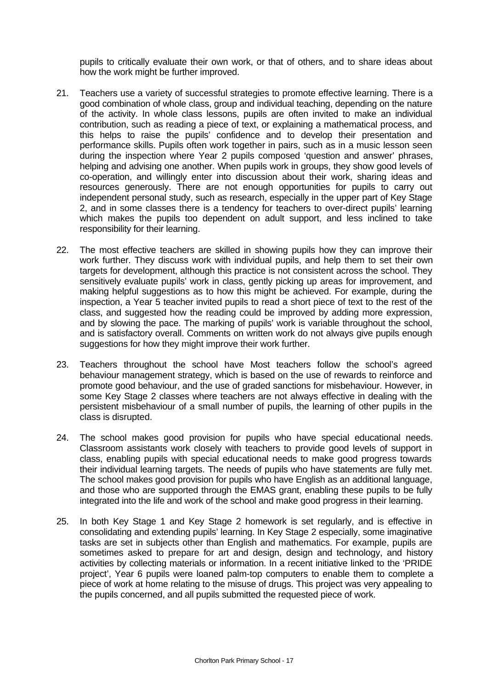pupils to critically evaluate their own work, or that of others, and to share ideas about how the work might be further improved.

- 21. Teachers use a variety of successful strategies to promote effective learning. There is a good combination of whole class, group and individual teaching, depending on the nature of the activity. In whole class lessons, pupils are often invited to make an individual contribution, such as reading a piece of text, or explaining a mathematical process, and this helps to raise the pupils' confidence and to develop their presentation and performance skills. Pupils often work together in pairs, such as in a music lesson seen during the inspection where Year 2 pupils composed 'question and answer' phrases, helping and advising one another. When pupils work in groups, they show good levels of co-operation, and willingly enter into discussion about their work, sharing ideas and resources generously. There are not enough opportunities for pupils to carry out independent personal study, such as research, especially in the upper part of Key Stage 2, and in some classes there is a tendency for teachers to over-direct pupils' learning which makes the pupils too dependent on adult support, and less inclined to take responsibility for their learning.
- 22. The most effective teachers are skilled in showing pupils how they can improve their work further. They discuss work with individual pupils, and help them to set their own targets for development, although this practice is not consistent across the school. They sensitively evaluate pupils' work in class, gently picking up areas for improvement, and making helpful suggestions as to how this might be achieved. For example, during the inspection, a Year 5 teacher invited pupils to read a short piece of text to the rest of the class, and suggested how the reading could be improved by adding more expression, and by slowing the pace. The marking of pupils' work is variable throughout the school, and is satisfactory overall. Comments on written work do not always give pupils enough suggestions for how they might improve their work further.
- 23. Teachers throughout the school have Most teachers follow the school's agreed behaviour management strategy, which is based on the use of rewards to reinforce and promote good behaviour, and the use of graded sanctions for misbehaviour. However, in some Key Stage 2 classes where teachers are not always effective in dealing with the persistent misbehaviour of a small number of pupils, the learning of other pupils in the class is disrupted.
- 24. The school makes good provision for pupils who have special educational needs. Classroom assistants work closely with teachers to provide good levels of support in class, enabling pupils with special educational needs to make good progress towards their individual learning targets. The needs of pupils who have statements are fully met. The school makes good provision for pupils who have English as an additional language, and those who are supported through the EMAS grant, enabling these pupils to be fully integrated into the life and work of the school and make good progress in their learning.
- 25. In both Key Stage 1 and Key Stage 2 homework is set regularly, and is effective in consolidating and extending pupils' learning. In Key Stage 2 especially, some imaginative tasks are set in subjects other than English and mathematics. For example, pupils are sometimes asked to prepare for art and design, design and technology, and history activities by collecting materials or information. In a recent initiative linked to the 'PRIDE project', Year 6 pupils were loaned palm-top computers to enable them to complete a piece of work at home relating to the misuse of drugs. This project was very appealing to the pupils concerned, and all pupils submitted the requested piece of work.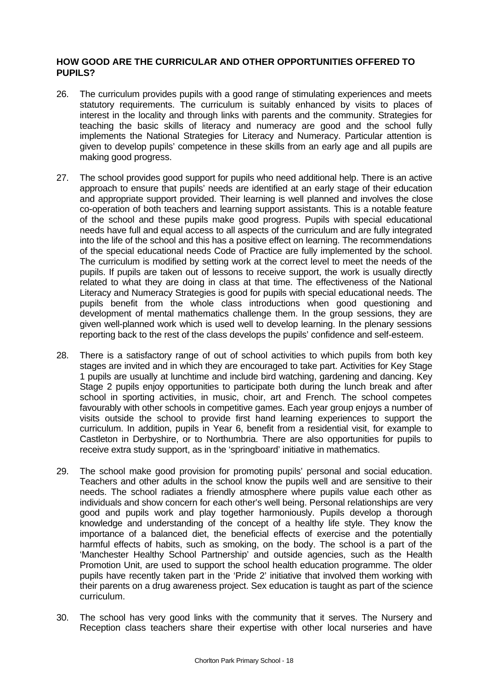## **HOW GOOD ARE THE CURRICULAR AND OTHER OPPORTUNITIES OFFERED TO PUPILS?**

- 26. The curriculum provides pupils with a good range of stimulating experiences and meets statutory requirements. The curriculum is suitably enhanced by visits to places of interest in the locality and through links with parents and the community. Strategies for teaching the basic skills of literacy and numeracy are good and the school fully implements the National Strategies for Literacy and Numeracy. Particular attention is given to develop pupils' competence in these skills from an early age and all pupils are making good progress.
- 27. The school provides good support for pupils who need additional help. There is an active approach to ensure that pupils' needs are identified at an early stage of their education and appropriate support provided. Their learning is well planned and involves the close co-operation of both teachers and learning support assistants. This is a notable feature of the school and these pupils make good progress. Pupils with special educational needs have full and equal access to all aspects of the curriculum and are fully integrated into the life of the school and this has a positive effect on learning. The recommendations of the special educational needs Code of Practice are fully implemented by the school. The curriculum is modified by setting work at the correct level to meet the needs of the pupils. If pupils are taken out of lessons to receive support, the work is usually directly related to what they are doing in class at that time. The effectiveness of the National Literacy and Numeracy Strategies is good for pupils with special educational needs. The pupils benefit from the whole class introductions when good questioning and development of mental mathematics challenge them. In the group sessions, they are given well-planned work which is used well to develop learning. In the plenary sessions reporting back to the rest of the class develops the pupils' confidence and self-esteem.
- 28. There is a satisfactory range of out of school activities to which pupils from both key stages are invited and in which they are encouraged to take part. Activities for Key Stage 1 pupils are usually at lunchtime and include bird watching, gardening and dancing. Key Stage 2 pupils enjoy opportunities to participate both during the lunch break and after school in sporting activities, in music, choir, art and French. The school competes favourably with other schools in competitive games. Each year group enjoys a number of visits outside the school to provide first hand learning experiences to support the curriculum. In addition, pupils in Year 6, benefit from a residential visit, for example to Castleton in Derbyshire, or to Northumbria. There are also opportunities for pupils to receive extra study support, as in the 'springboard' initiative in mathematics.
- 29. The school make good provision for promoting pupils' personal and social education. Teachers and other adults in the school know the pupils well and are sensitive to their needs. The school radiates a friendly atmosphere where pupils value each other as individuals and show concern for each other's well being. Personal relationships are very good and pupils work and play together harmoniously. Pupils develop a thorough knowledge and understanding of the concept of a healthy life style. They know the importance of a balanced diet, the beneficial effects of exercise and the potentially harmful effects of habits, such as smoking, on the body. The school is a part of the 'Manchester Healthy School Partnership' and outside agencies, such as the Health Promotion Unit, are used to support the school health education programme. The older pupils have recently taken part in the 'Pride 2' initiative that involved them working with their parents on a drug awareness project. Sex education is taught as part of the science curriculum.
- 30. The school has very good links with the community that it serves. The Nursery and Reception class teachers share their expertise with other local nurseries and have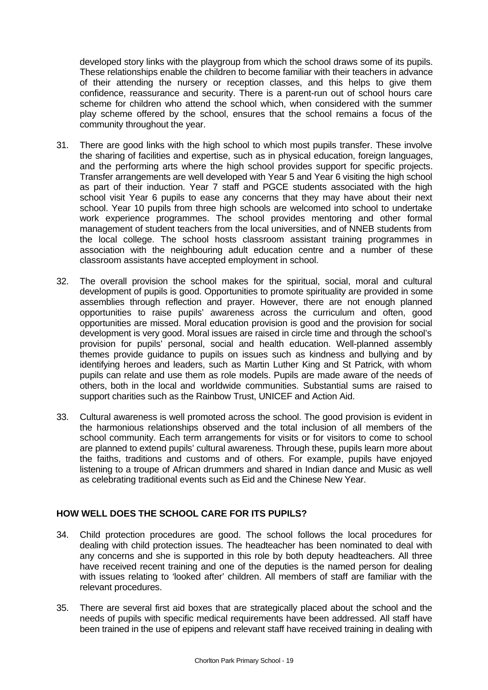developed story links with the playgroup from which the school draws some of its pupils. These relationships enable the children to become familiar with their teachers in advance of their attending the nursery or reception classes, and this helps to give them confidence, reassurance and security. There is a parent-run out of school hours care scheme for children who attend the school which, when considered with the summer play scheme offered by the school, ensures that the school remains a focus of the community throughout the year.

- 31. There are good links with the high school to which most pupils transfer. These involve the sharing of facilities and expertise, such as in physical education, foreign languages, and the performing arts where the high school provides support for specific projects. Transfer arrangements are well developed with Year 5 and Year 6 visiting the high school as part of their induction. Year 7 staff and PGCE students associated with the high school visit Year 6 pupils to ease any concerns that they may have about their next school. Year 10 pupils from three high schools are welcomed into school to undertake work experience programmes. The school provides mentoring and other formal management of student teachers from the local universities, and of NNEB students from the local college. The school hosts classroom assistant training programmes in association with the neighbouring adult education centre and a number of these classroom assistants have accepted employment in school.
- 32. The overall provision the school makes for the spiritual, social, moral and cultural development of pupils is good. Opportunities to promote spirituality are provided in some assemblies through reflection and prayer. However, there are not enough planned opportunities to raise pupils' awareness across the curriculum and often, good opportunities are missed. Moral education provision is good and the provision for social development is very good. Moral issues are raised in circle time and through the school's provision for pupils' personal, social and health education. Well-planned assembly themes provide guidance to pupils on issues such as kindness and bullying and by identifying heroes and leaders, such as Martin Luther King and St Patrick, with whom pupils can relate and use them as role models. Pupils are made aware of the needs of others, both in the local and worldwide communities. Substantial sums are raised to support charities such as the Rainbow Trust, UNICEF and Action Aid.
- 33. Cultural awareness is well promoted across the school. The good provision is evident in the harmonious relationships observed and the total inclusion of all members of the school community. Each term arrangements for visits or for visitors to come to school are planned to extend pupils' cultural awareness. Through these, pupils learn more about the faiths, traditions and customs and of others. For example, pupils have enjoyed listening to a troupe of African drummers and shared in Indian dance and Music as well as celebrating traditional events such as Eid and the Chinese New Year.

## **HOW WELL DOES THE SCHOOL CARE FOR ITS PUPILS?**

- 34. Child protection procedures are good. The school follows the local procedures for dealing with child protection issues. The headteacher has been nominated to deal with any concerns and she is supported in this role by both deputy headteachers. All three have received recent training and one of the deputies is the named person for dealing with issues relating to 'looked after' children. All members of staff are familiar with the relevant procedures.
- 35. There are several first aid boxes that are strategically placed about the school and the needs of pupils with specific medical requirements have been addressed. All staff have been trained in the use of epipens and relevant staff have received training in dealing with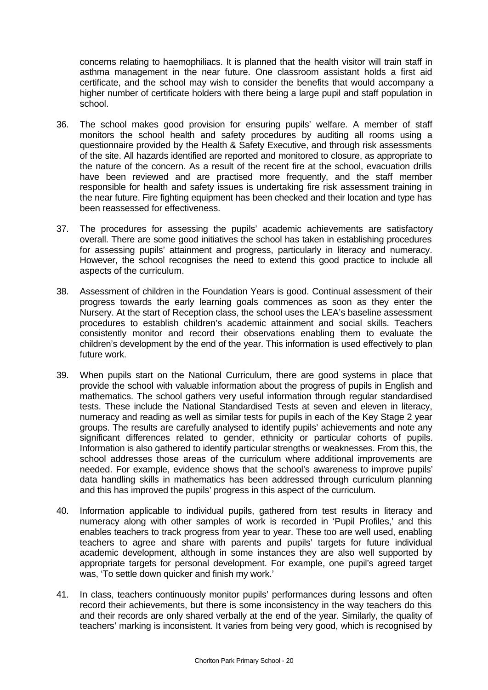concerns relating to haemophiliacs. It is planned that the health visitor will train staff in asthma management in the near future. One classroom assistant holds a first aid certificate, and the school may wish to consider the benefits that would accompany a higher number of certificate holders with there being a large pupil and staff population in school.

- 36. The school makes good provision for ensuring pupils' welfare. A member of staff monitors the school health and safety procedures by auditing all rooms using a questionnaire provided by the Health & Safety Executive, and through risk assessments of the site. All hazards identified are reported and monitored to closure, as appropriate to the nature of the concern. As a result of the recent fire at the school, evacuation drills have been reviewed and are practised more frequently, and the staff member responsible for health and safety issues is undertaking fire risk assessment training in the near future. Fire fighting equipment has been checked and their location and type has been reassessed for effectiveness.
- 37. The procedures for assessing the pupils' academic achievements are satisfactory overall. There are some good initiatives the school has taken in establishing procedures for assessing pupils' attainment and progress, particularly in literacy and numeracy. However, the school recognises the need to extend this good practice to include all aspects of the curriculum.
- 38. Assessment of children in the Foundation Years is good. Continual assessment of their progress towards the early learning goals commences as soon as they enter the Nursery. At the start of Reception class, the school uses the LEA's baseline assessment procedures to establish children's academic attainment and social skills. Teachers consistently monitor and record their observations enabling them to evaluate the children's development by the end of the year. This information is used effectively to plan future work.
- 39. When pupils start on the National Curriculum, there are good systems in place that provide the school with valuable information about the progress of pupils in English and mathematics. The school gathers very useful information through regular standardised tests. These include the National Standardised Tests at seven and eleven in literacy, numeracy and reading as well as similar tests for pupils in each of the Key Stage 2 year groups. The results are carefully analysed to identify pupils' achievements and note any significant differences related to gender, ethnicity or particular cohorts of pupils. Information is also gathered to identify particular strengths or weaknesses. From this, the school addresses those areas of the curriculum where additional improvements are needed. For example, evidence shows that the school's awareness to improve pupils' data handling skills in mathematics has been addressed through curriculum planning and this has improved the pupils' progress in this aspect of the curriculum.
- 40. Information applicable to individual pupils, gathered from test results in literacy and numeracy along with other samples of work is recorded in 'Pupil Profiles,' and this enables teachers to track progress from year to year. These too are well used, enabling teachers to agree and share with parents and pupils' targets for future individual academic development, although in some instances they are also well supported by appropriate targets for personal development. For example, one pupil's agreed target was, 'To settle down quicker and finish my work.'
- 41. In class, teachers continuously monitor pupils' performances during lessons and often record their achievements, but there is some inconsistency in the way teachers do this and their records are only shared verbally at the end of the year. Similarly, the quality of teachers' marking is inconsistent. It varies from being very good, which is recognised by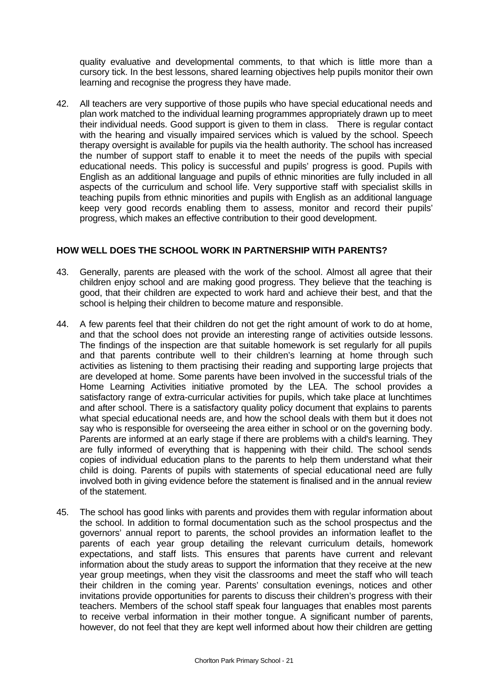quality evaluative and developmental comments, to that which is little more than a cursory tick. In the best lessons, shared learning objectives help pupils monitor their own learning and recognise the progress they have made.

42. All teachers are very supportive of those pupils who have special educational needs and plan work matched to the individual learning programmes appropriately drawn up to meet their individual needs. Good support is given to them in class. There is regular contact with the hearing and visually impaired services which is valued by the school. Speech therapy oversight is available for pupils via the health authority. The school has increased the number of support staff to enable it to meet the needs of the pupils with special educational needs. This policy is successful and pupils' progress is good. Pupils with English as an additional language and pupils of ethnic minorities are fully included in all aspects of the curriculum and school life. Very supportive staff with specialist skills in teaching pupils from ethnic minorities and pupils with English as an additional language keep very good records enabling them to assess, monitor and record their pupils' progress, which makes an effective contribution to their good development.

#### **HOW WELL DOES THE SCHOOL WORK IN PARTNERSHIP WITH PARENTS?**

- 43. Generally, parents are pleased with the work of the school. Almost all agree that their children enjoy school and are making good progress. They believe that the teaching is good, that their children are expected to work hard and achieve their best, and that the school is helping their children to become mature and responsible.
- 44. A few parents feel that their children do not get the right amount of work to do at home, and that the school does not provide an interesting range of activities outside lessons. The findings of the inspection are that suitable homework is set regularly for all pupils and that parents contribute well to their children's learning at home through such activities as listening to them practising their reading and supporting large projects that are developed at home. Some parents have been involved in the successful trials of the Home Learning Activities initiative promoted by the LEA. The school provides a satisfactory range of extra-curricular activities for pupils, which take place at lunchtimes and after school. There is a satisfactory quality policy document that explains to parents what special educational needs are, and how the school deals with them but it does not say who is responsible for overseeing the area either in school or on the governing body. Parents are informed at an early stage if there are problems with a child's learning. They are fully informed of everything that is happening with their child. The school sends copies of individual education plans to the parents to help them understand what their child is doing. Parents of pupils with statements of special educational need are fully involved both in giving evidence before the statement is finalised and in the annual review of the statement.
- 45. The school has good links with parents and provides them with regular information about the school. In addition to formal documentation such as the school prospectus and the governors' annual report to parents, the school provides an information leaflet to the parents of each year group detailing the relevant curriculum details, homework expectations, and staff lists. This ensures that parents have current and relevant information about the study areas to support the information that they receive at the new year group meetings, when they visit the classrooms and meet the staff who will teach their children in the coming year. Parents' consultation evenings, notices and other invitations provide opportunities for parents to discuss their children's progress with their teachers. Members of the school staff speak four languages that enables most parents to receive verbal information in their mother tongue. A significant number of parents, however, do not feel that they are kept well informed about how their children are getting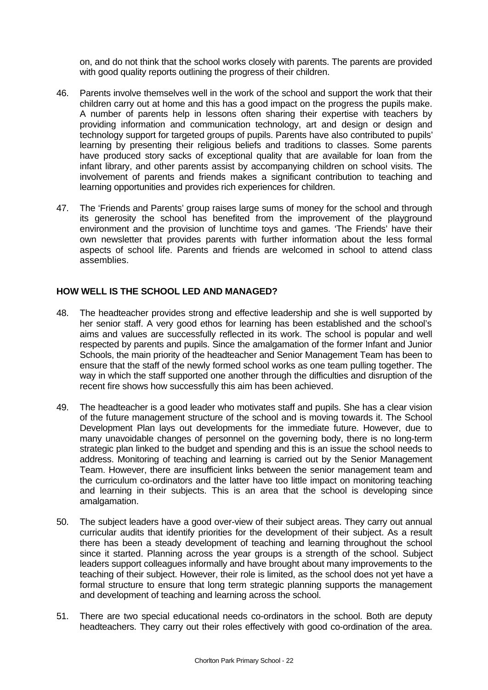on, and do not think that the school works closely with parents. The parents are provided with good quality reports outlining the progress of their children.

- 46. Parents involve themselves well in the work of the school and support the work that their children carry out at home and this has a good impact on the progress the pupils make. A number of parents help in lessons often sharing their expertise with teachers by providing information and communication technology, art and design or design and technology support for targeted groups of pupils. Parents have also contributed to pupils' learning by presenting their religious beliefs and traditions to classes. Some parents have produced story sacks of exceptional quality that are available for loan from the infant library, and other parents assist by accompanying children on school visits. The involvement of parents and friends makes a significant contribution to teaching and learning opportunities and provides rich experiences for children.
- 47. The 'Friends and Parents' group raises large sums of money for the school and through its generosity the school has benefited from the improvement of the playground environment and the provision of lunchtime toys and games. 'The Friends' have their own newsletter that provides parents with further information about the less formal aspects of school life. Parents and friends are welcomed in school to attend class assemblies.

#### **HOW WELL IS THE SCHOOL LED AND MANAGED?**

- 48. The headteacher provides strong and effective leadership and she is well supported by her senior staff. A very good ethos for learning has been established and the school's aims and values are successfully reflected in its work. The school is popular and well respected by parents and pupils. Since the amalgamation of the former Infant and Junior Schools, the main priority of the headteacher and Senior Management Team has been to ensure that the staff of the newly formed school works as one team pulling together. The way in which the staff supported one another through the difficulties and disruption of the recent fire shows how successfully this aim has been achieved.
- 49. The headteacher is a good leader who motivates staff and pupils. She has a clear vision of the future management structure of the school and is moving towards it. The School Development Plan lays out developments for the immediate future. However, due to many unavoidable changes of personnel on the governing body, there is no long-term strategic plan linked to the budget and spending and this is an issue the school needs to address. Monitoring of teaching and learning is carried out by the Senior Management Team. However, there are insufficient links between the senior management team and the curriculum co-ordinators and the latter have too little impact on monitoring teaching and learning in their subjects. This is an area that the school is developing since amalgamation.
- 50. The subject leaders have a good over-view of their subject areas. They carry out annual curricular audits that identify priorities for the development of their subject. As a result there has been a steady development of teaching and learning throughout the school since it started. Planning across the year groups is a strength of the school. Subject leaders support colleagues informally and have brought about many improvements to the teaching of their subject. However, their role is limited, as the school does not yet have a formal structure to ensure that long term strategic planning supports the management and development of teaching and learning across the school.
- 51. There are two special educational needs co-ordinators in the school. Both are deputy headteachers. They carry out their roles effectively with good co-ordination of the area.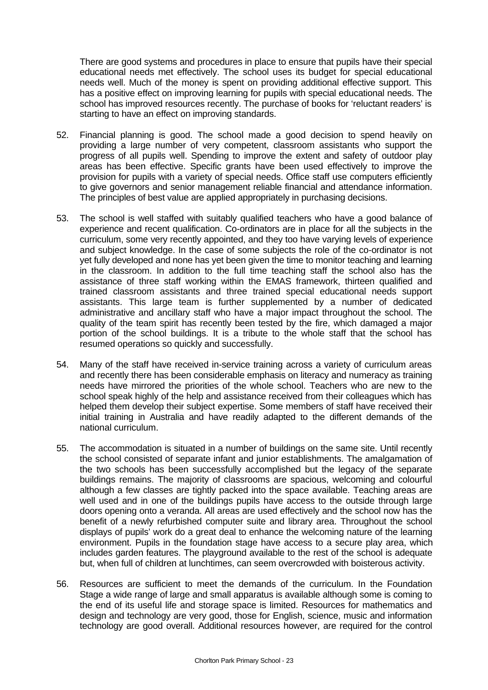There are good systems and procedures in place to ensure that pupils have their special educational needs met effectively. The school uses its budget for special educational needs well. Much of the money is spent on providing additional effective support. This has a positive effect on improving learning for pupils with special educational needs. The school has improved resources recently. The purchase of books for 'reluctant readers' is starting to have an effect on improving standards.

- 52. Financial planning is good. The school made a good decision to spend heavily on providing a large number of very competent, classroom assistants who support the progress of all pupils well. Spending to improve the extent and safety of outdoor play areas has been effective. Specific grants have been used effectively to improve the provision for pupils with a variety of special needs. Office staff use computers efficiently to give governors and senior management reliable financial and attendance information. The principles of best value are applied appropriately in purchasing decisions.
- 53. The school is well staffed with suitably qualified teachers who have a good balance of experience and recent qualification. Co-ordinators are in place for all the subjects in the curriculum, some very recently appointed, and they too have varying levels of experience and subject knowledge. In the case of some subjects the role of the co-ordinator is not yet fully developed and none has yet been given the time to monitor teaching and learning in the classroom. In addition to the full time teaching staff the school also has the assistance of three staff working within the EMAS framework, thirteen qualified and trained classroom assistants and three trained special educational needs support assistants. This large team is further supplemented by a number of dedicated administrative and ancillary staff who have a major impact throughout the school. The quality of the team spirit has recently been tested by the fire, which damaged a major portion of the school buildings. It is a tribute to the whole staff that the school has resumed operations so quickly and successfully.
- 54. Many of the staff have received in-service training across a variety of curriculum areas and recently there has been considerable emphasis on literacy and numeracy as training needs have mirrored the priorities of the whole school. Teachers who are new to the school speak highly of the help and assistance received from their colleagues which has helped them develop their subject expertise. Some members of staff have received their initial training in Australia and have readily adapted to the different demands of the national curriculum.
- 55. The accommodation is situated in a number of buildings on the same site. Until recently the school consisted of separate infant and junior establishments. The amalgamation of the two schools has been successfully accomplished but the legacy of the separate buildings remains. The majority of classrooms are spacious, welcoming and colourful although a few classes are tightly packed into the space available. Teaching areas are well used and in one of the buildings pupils have access to the outside through large doors opening onto a veranda. All areas are used effectively and the school now has the benefit of a newly refurbished computer suite and library area. Throughout the school displays of pupils' work do a great deal to enhance the welcoming nature of the learning environment. Pupils in the foundation stage have access to a secure play area, which includes garden features. The playground available to the rest of the school is adequate but, when full of children at lunchtimes, can seem overcrowded with boisterous activity.
- 56. Resources are sufficient to meet the demands of the curriculum. In the Foundation Stage a wide range of large and small apparatus is available although some is coming to the end of its useful life and storage space is limited. Resources for mathematics and design and technology are very good, those for English, science, music and information technology are good overall. Additional resources however, are required for the control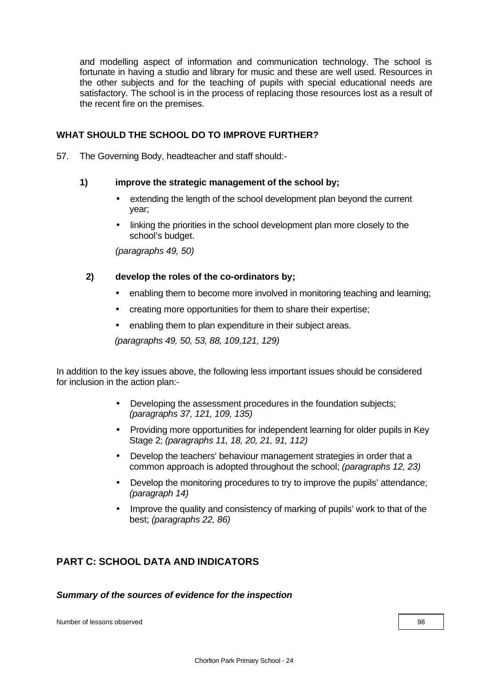and modelling aspect of information and communication technology. The school is fortunate in having a studio and library for music and these are well used. Resources in the other subjects and for the teaching of pupils with special educational needs are satisfactory. The school is in the process of replacing those resources lost as a result of the recent fire on the premises.

## **WHAT SHOULD THE SCHOOL DO TO IMPROVE FURTHER?**

57. The Governing Body, headteacher and staff should:-

## **1) improve the strategic management of the school by;**

- extending the length of the school development plan beyond the current year;
- linking the priorities in the school development plan more closely to the school's budget.

*(paragraphs 49, 50)*

## **2) develop the roles of the co-ordinators by;**

- enabling them to become more involved in monitoring teaching and learning;
- creating more opportunities for them to share their expertise;
- enabling them to plan expenditure in their subject areas.

*(paragraphs 49, 50, 53, 88, 109,121, 129)*

In addition to the key issues above, the following less important issues should be considered for inclusion in the action plan:-

- Developing the assessment procedures in the foundation subjects; *(paragraphs 37, 121, 109, 135)*
- Providing more opportunities for independent learning for older pupils in Key Stage 2; *(paragraphs 11, 18, 20, 21, 91, 112)*
- Develop the teachers' behaviour management strategies in order that a common approach is adopted throughout the school; *(paragraphs 12, 23)*
- Develop the monitoring procedures to try to improve the pupils' attendance; *(paragraph 14)*
- Improve the quality and consistency of marking of pupils' work to that of the best; *(paragraphs 22, 86)*

## **PART C: SCHOOL DATA AND INDICATORS**

#### *Summary of the sources of evidence for the inspection*

Number of lessons observed **1988** and 2008 and 2008 and 2008 and 2008 and 2008 and 2008 and 2008 and 2008 and 200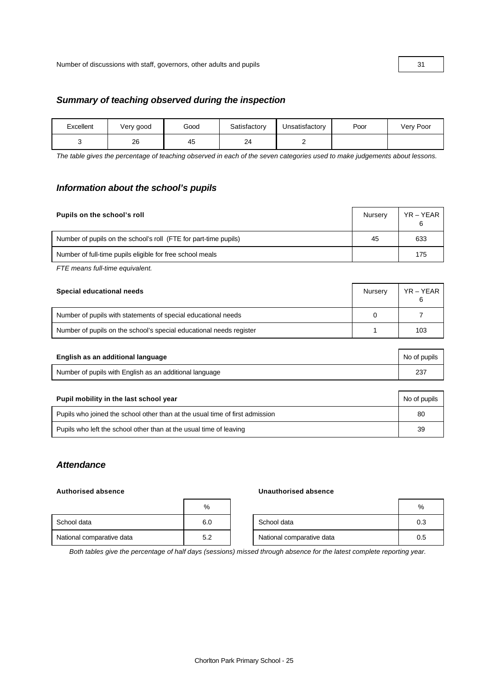#### *Summary of teaching observed during the inspection*

| Excellent | Very good | Good | Satisfactory | Unsatisfactory | Poor | Very Poor |
|-----------|-----------|------|--------------|----------------|------|-----------|
|           | 26        | 45   | 24           |                |      |           |

*The table gives the percentage of teaching observed in each of the seven categories used to make judgements about lessons.*

#### *Information about the school's pupils*

| Pupils on the school's roll                                      | Nursery | YR – YEAR<br>6 |
|------------------------------------------------------------------|---------|----------------|
| Number of pupils on the school's roll (FTE for part-time pupils) | 45      | 633            |
| Number of full-time pupils eligible for free school meals        |         | 175            |

*FTE means full-time equivalent.*

| Special educational needs                                           | Nurserv | YR – YEAR |
|---------------------------------------------------------------------|---------|-----------|
| Number of pupils with statements of special educational needs       |         |           |
| Number of pupils on the school's special educational needs register |         | 103       |

| English as an additional language                       | No of pupils |
|---------------------------------------------------------|--------------|
| Number of pupils with English as an additional language |              |

| Pupil mobility in the last school year                                       | No of pupils |
|------------------------------------------------------------------------------|--------------|
| Pupils who joined the school other than at the usual time of first admission | 80           |
| Pupils who left the school other than at the usual time of leaving           | 39           |

## *Attendance*

#### **Authorised absence Unauthorised absence**

|                           | %   |                           | %   |
|---------------------------|-----|---------------------------|-----|
| School data               | 6.0 | School data               | 0.3 |
| National comparative data | 5.2 | National comparative data | 0.5 |

*Both tables give the percentage of half days (sessions) missed through absence for the latest complete reporting year.*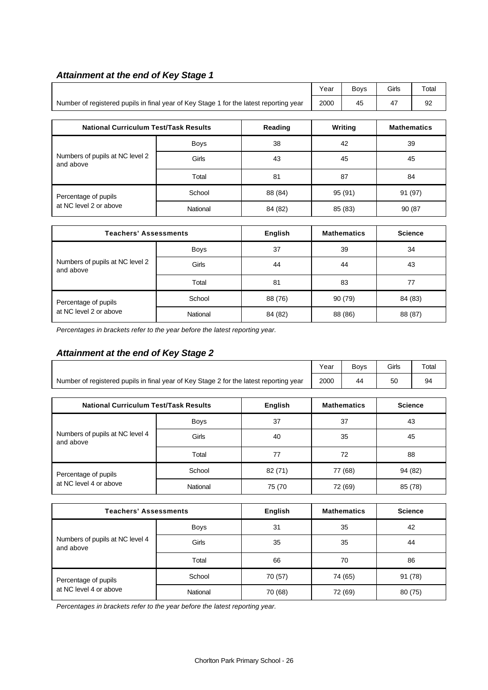|                                                                                        |             |         | Year    | <b>Boys</b>        | Girls              | Total |
|----------------------------------------------------------------------------------------|-------------|---------|---------|--------------------|--------------------|-------|
| Number of registered pupils in final year of Key Stage 1 for the latest reporting year | 2000        | 45      | 47      | 92                 |                    |       |
|                                                                                        |             |         |         |                    |                    |       |
| <b>National Curriculum Test/Task Results</b>                                           |             | Reading |         | Writing            | <b>Mathematics</b> |       |
|                                                                                        | <b>Boys</b> | 38      | 42      |                    | 39                 |       |
| Numbers of pupils at NC level 2<br>and above                                           | Girls       | 43      | 45      |                    | 45                 |       |
|                                                                                        | Total       | 81      | 87      |                    | 84                 |       |
| Percentage of pupils                                                                   | School      | 88 (84) | 95 (91) |                    | 91 (97)            |       |
| at NC level 2 or above                                                                 | National    | 84 (82) |         | 85 (83)            | 90 (87             |       |
|                                                                                        |             |         |         |                    |                    |       |
| <b>Teachers' Assessments</b>                                                           |             | English |         | <b>Mathematics</b> | <b>Science</b>     |       |

## *Attainment at the end of Key Stage 1*

| <b>Teachers' Assessments</b>                 |             | English | <b>Mathematics</b> | <b>Science</b> |
|----------------------------------------------|-------------|---------|--------------------|----------------|
|                                              | <b>Boys</b> | 37      | 39                 | 34             |
| Numbers of pupils at NC level 2<br>and above | Girls       | 44      | 44                 | 43             |
|                                              | Total       | 81      | 83                 | 77             |
| Percentage of pupils                         | School      | 88 (76) | 90(79)             | 84 (83)        |
| at NC level 2 or above                       | National    | 84 (82) | 88 (86)            | 88 (87)        |

*Percentages in brackets refer to the year before the latest reporting year.*

## *Attainment at the end of Key Stage 2*

|                                                                                        |             |         |         | <b>Boys</b>        | Girls          | Total |  |
|----------------------------------------------------------------------------------------|-------------|---------|---------|--------------------|----------------|-------|--|
| Number of registered pupils in final year of Key Stage 2 for the latest reporting year | 2000        | 44      | 50      | 94                 |                |       |  |
|                                                                                        |             |         |         |                    |                |       |  |
| <b>National Curriculum Test/Task Results</b>                                           |             | English |         | <b>Mathematics</b> | <b>Science</b> |       |  |
|                                                                                        | <b>Boys</b> | 37      |         | 37                 |                | 43    |  |
| Numbers of pupils at NC level 4<br>and above                                           | Girls       | 40      |         | 35                 |                | 45    |  |
|                                                                                        | Total       | 77      |         | 72                 |                | 88    |  |
| Percentage of pupils                                                                   | School      | 82 (71) | 77 (68) |                    | 94 (82)        |       |  |
| at NC level 4 or above                                                                 | National    | 75 (70  |         | 72 (69)            | 85 (78)        |       |  |
|                                                                                        |             |         |         |                    |                |       |  |

| <b>Teachers' Assessments</b>                 |             | English | <b>Mathematics</b> | <b>Science</b> |
|----------------------------------------------|-------------|---------|--------------------|----------------|
|                                              | <b>Boys</b> | 31      | 35                 | 42             |
| Numbers of pupils at NC level 4<br>and above | Girls       | 35      | 35                 | 44             |
|                                              | Total       | 66      | 70                 | 86             |
| Percentage of pupils                         | School      | 70 (57) | 74 (65)            | 91 (78)        |
| at NC level 4 or above                       | National    | 70 (68) | 72 (69)            | 80 (75)        |

*Percentages in brackets refer to the year before the latest reporting year.*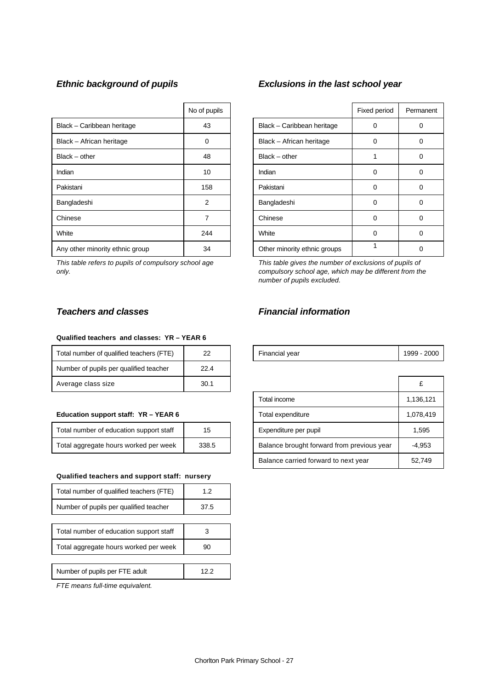|                                 | No of pupils |                              | Fixed period | Perma       |
|---------------------------------|--------------|------------------------------|--------------|-------------|
| Black - Caribbean heritage      | 43           | Black - Caribbean heritage   | 0            | $\Omega$    |
| Black - African heritage        | 0            | Black - African heritage     | 0            | $\mathbf 0$ |
| $Black - other$                 | 48           | $Black - other$              |              | 0           |
| Indian                          | 10           | Indian                       | 0            | 0           |
| Pakistani                       | 158          | Pakistani                    | 0            | $\Omega$    |
| Bangladeshi                     | 2            | Bangladeshi                  | 0            | 0           |
| Chinese                         |              | Chinese                      | 0            | 0           |
| White                           | 244          | White                        | 0            | 0           |
| Any other minority ethnic group | 34           | Other minority ethnic groups |              | 0           |

*This table refers to pupils of compulsory school age only.*

## *Ethnic background of pupils Exclusions in the last school year*

| No of pupils   |                              | Fixed period | Permanent |
|----------------|------------------------------|--------------|-----------|
| 43             | Black - Caribbean heritage   | Ω            |           |
| 0              | Black - African heritage     | 0            | 0         |
| 48             | $Black - other$              |              | 0         |
| 10             | Indian                       | 0            | 0         |
| 158            | Pakistani                    | 0            | ∩         |
| $\overline{2}$ | Bangladeshi                  | 0            | ŋ         |
| 7              | Chinese                      | 0            | ŋ         |
| 244            | White                        | O            | 0         |
| 34             | Other minority ethnic groups |              |           |

*This table gives the number of exclusions of pupils of compulsory school age, which may be different from the number of pupils excluded.*

#### **Qualified teachers and classes: YR – YEAR 6**

| Total number of qualified teachers (FTE) | 22   | Financial year | 1999 - |
|------------------------------------------|------|----------------|--------|
| Number of pupils per qualified teacher   | 22.4 |                |        |
| Average class size                       | 30.1 |                | £      |

#### **Education support staff: YR - YEAR 6**

| Total number of education support staff | 15    |
|-----------------------------------------|-------|
| Total aggregate hours worked per week   | 338.5 |

#### **Qualified teachers and support staff: nursery**

| Total number of qualified teachers (FTE) | 1.2  |
|------------------------------------------|------|
| Number of pupils per qualified teacher   | 37.5 |
|                                          |      |
| Total number of education support staff  |      |
| Total aggregate hours worked per week    | 90   |
|                                          |      |
| Number of pupils per FTE adult           |      |

*FTE means full-time equivalent.*

## *Teachers and classes Financial information*

| Total number of qualified teachers (<br>. (FTF) |  | Financial vear | 2000<br>1999 |
|-------------------------------------------------|--|----------------|--------------|
|-------------------------------------------------|--|----------------|--------------|

| Average class size                      | 30.1  |                                            |           |
|-----------------------------------------|-------|--------------------------------------------|-----------|
|                                         |       | Total income                               | 1,136,121 |
| Education support staff: YR - YEAR 6    |       | Total expenditure                          | 1,078,419 |
| Total number of education support staff | 15    | Expenditure per pupil                      | 1,595     |
| Total aggregate hours worked per week   | 338.5 | Balance brought forward from previous year | $-4,953$  |
|                                         |       | Balance carried forward to next year       | 52,749    |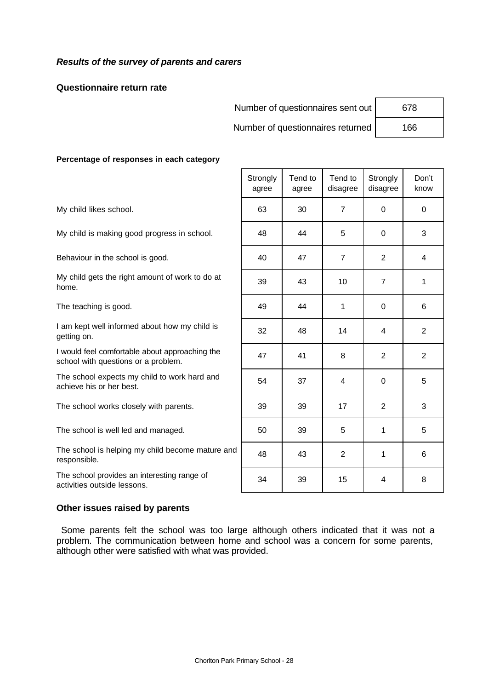## *Results of the survey of parents and carers*

#### **Questionnaire return rate**

Number of questionnaires sent out | 678

Number of questionnaires returned | 166

Τ

Τ

T

#### **Percentage of responses in each category**

The school provides an interesting range of activities outside lessons.<br>34 15 15 4 8

|                                                                                       | Strongly<br>agree | Tend to<br>agree | Tend to<br>disagree | Strongly<br>disagree | Don't<br>know  |
|---------------------------------------------------------------------------------------|-------------------|------------------|---------------------|----------------------|----------------|
| My child likes school.                                                                | 63                | 30               | $\overline{7}$      | $\Omega$             | $\Omega$       |
| My child is making good progress in school.                                           | 48                | 44               | 5                   | $\Omega$             | 3              |
| Behaviour in the school is good.                                                      | 40                | 47               | $\overline{7}$      | $\overline{2}$       | 4              |
| My child gets the right amount of work to do at<br>home.                              | 39                | 43               | 10                  | $\overline{7}$       | 1              |
| The teaching is good.                                                                 | 49                | 44               | 1                   | $\Omega$             | 6              |
| I am kept well informed about how my child is<br>getting on.                          | 32                | 48               | 14                  | 4                    | $\overline{2}$ |
| I would feel comfortable about approaching the<br>school with questions or a problem. | 47                | 41               | 8                   | $\overline{2}$       | $\overline{2}$ |
| The school expects my child to work hard and<br>achieve his or her best.              | 54                | 37               | 4                   | 0                    | 5              |
| The school works closely with parents.                                                | 39                | 39               | 17                  | $\overline{2}$       | 3              |
| The school is well led and managed.                                                   | 50                | 39               | 5                   | 1                    | 5              |
| The school is helping my child become mature and<br>responsible.                      | 48                | 43               | $\overline{2}$      | 1                    | 6              |
| The school provides an interesting range of                                           |                   |                  |                     |                      |                |

#### **Other issues raised by parents**

 Some parents felt the school was too large although others indicated that it was not a problem. The communication between home and school was a concern for some parents, although other were satisfied with what was provided.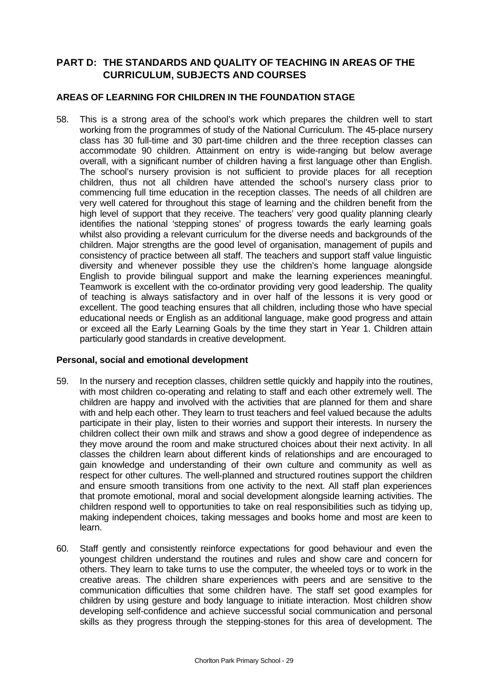## **PART D: THE STANDARDS AND QUALITY OF TEACHING IN AREAS OF THE CURRICULUM, SUBJECTS AND COURSES**

## **AREAS OF LEARNING FOR CHILDREN IN THE FOUNDATION STAGE**

58. This is a strong area of the school's work which prepares the children well to start working from the programmes of study of the National Curriculum. The 45-place nursery class has 30 full-time and 30 part-time children and the three reception classes can accommodate 90 children. Attainment on entry is wide-ranging but below average overall, with a significant number of children having a first language other than English. The school's nursery provision is not sufficient to provide places for all reception children, thus not all children have attended the school's nursery class prior to commencing full time education in the reception classes. The needs of all children are very well catered for throughout this stage of learning and the children benefit from the high level of support that they receive. The teachers' very good quality planning clearly identifies the national 'stepping stones' of progress towards the early learning goals whilst also providing a relevant curriculum for the diverse needs and backgrounds of the children. Major strengths are the good level of organisation, management of pupils and consistency of practice between all staff. The teachers and support staff value linguistic diversity and whenever possible they use the children's home language alongside English to provide bilingual support and make the learning experiences meaningful. Teamwork is excellent with the co-ordinator providing very good leadership. The quality of teaching is always satisfactory and in over half of the lessons it is very good or excellent. The good teaching ensures that all children, including those who have special educational needs or English as an additional language, make good progress and attain or exceed all the Early Learning Goals by the time they start in Year 1. Children attain particularly good standards in creative development.

## **Personal, social and emotional development**

- 59. In the nursery and reception classes, children settle quickly and happily into the routines, with most children co-operating and relating to staff and each other extremely well. The children are happy and involved with the activities that are planned for them and share with and help each other. They learn to trust teachers and feel valued because the adults participate in their play, listen to their worries and support their interests. In nursery the children collect their own milk and straws and show a good degree of independence as they move around the room and make structured choices about their next activity. In all classes the children learn about different kinds of relationships and are encouraged to gain knowledge and understanding of their own culture and community as well as respect for other cultures. The well-planned and structured routines support the children and ensure smooth transitions from one activity to the next. All staff plan experiences that promote emotional, moral and social development alongside learning activities. The children respond well to opportunities to take on real responsibilities such as tidying up, making independent choices, taking messages and books home and most are keen to learn.
- 60. Staff gently and consistently reinforce expectations for good behaviour and even the youngest children understand the routines and rules and show care and concern for others. They learn to take turns to use the computer, the wheeled toys or to work in the creative areas. The children share experiences with peers and are sensitive to the communication difficulties that some children have. The staff set good examples for children by using gesture and body language to initiate interaction. Most children show developing self-confidence and achieve successful social communication and personal skills as they progress through the stepping-stones for this area of development. The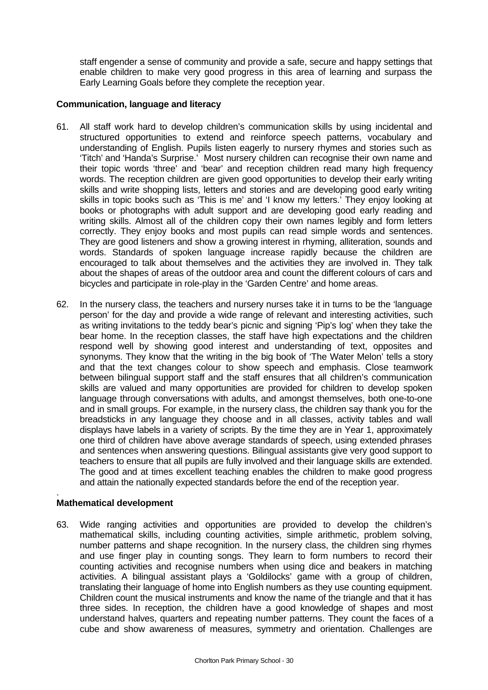staff engender a sense of community and provide a safe, secure and happy settings that enable children to make very good progress in this area of learning and surpass the Early Learning Goals before they complete the reception year.

## **Communication, language and literacy**

- 61. All staff work hard to develop children's communication skills by using incidental and structured opportunities to extend and reinforce speech patterns, vocabulary and understanding of English. Pupils listen eagerly to nursery rhymes and stories such as 'Titch' and 'Handa's Surprise.' Most nursery children can recognise their own name and their topic words 'three' and 'bear' and reception children read many high frequency words. The reception children are given good opportunities to develop their early writing skills and write shopping lists, letters and stories and are developing good early writing skills in topic books such as 'This is me' and 'I know my letters.' They enjoy looking at books or photographs with adult support and are developing good early reading and writing skills. Almost all of the children copy their own names legibly and form letters correctly. They enjoy books and most pupils can read simple words and sentences. They are good listeners and show a growing interest in rhyming, alliteration, sounds and words. Standards of spoken language increase rapidly because the children are encouraged to talk about themselves and the activities they are involved in. They talk about the shapes of areas of the outdoor area and count the different colours of cars and bicycles and participate in role-play in the 'Garden Centre' and home areas.
- 62. In the nursery class, the teachers and nursery nurses take it in turns to be the 'language person' for the day and provide a wide range of relevant and interesting activities, such as writing invitations to the teddy bear's picnic and signing 'Pip's log' when they take the bear home. In the reception classes, the staff have high expectations and the children respond well by showing good interest and understanding of text, opposites and synonyms. They know that the writing in the big book of 'The Water Melon' tells a story and that the text changes colour to show speech and emphasis. Close teamwork between bilingual support staff and the staff ensures that all children's communication skills are valued and many opportunities are provided for children to develop spoken language through conversations with adults, and amongst themselves, both one-to-one and in small groups. For example, in the nursery class, the children say thank you for the breadsticks in any language they choose and in all classes, activity tables and wall displays have labels in a variety of scripts. By the time they are in Year 1, approximately one third of children have above average standards of speech, using extended phrases and sentences when answering questions. Bilingual assistants give very good support to teachers to ensure that all pupils are fully involved and their language skills are extended. The good and at times excellent teaching enables the children to make good progress and attain the nationally expected standards before the end of the reception year.

#### . **Mathematical development**

63. Wide ranging activities and opportunities are provided to develop the children's mathematical skills, including counting activities, simple arithmetic, problem solving, number patterns and shape recognition. In the nursery class, the children sing rhymes and use finger play in counting songs. They learn to form numbers to record their counting activities and recognise numbers when using dice and beakers in matching activities. A bilingual assistant plays a 'Goldilocks' game with a group of children, translating their language of home into English numbers as they use counting equipment. Children count the musical instruments and know the name of the triangle and that it has three sides. In reception, the children have a good knowledge of shapes and most understand halves, quarters and repeating number patterns. They count the faces of a cube and show awareness of measures, symmetry and orientation. Challenges are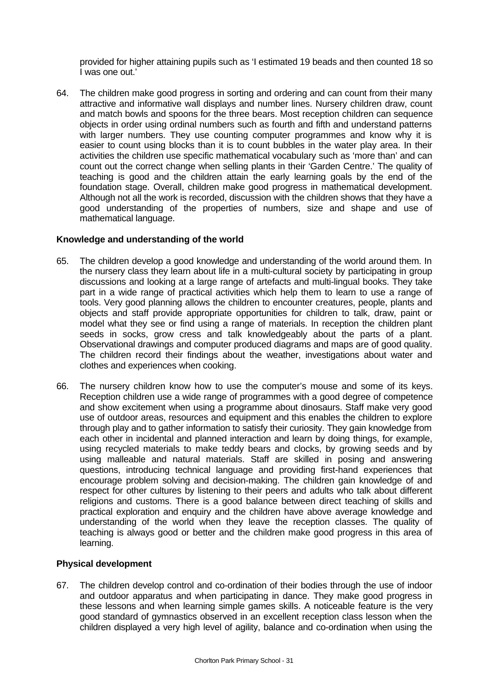provided for higher attaining pupils such as 'I estimated 19 beads and then counted 18 so I was one out.'

64. The children make good progress in sorting and ordering and can count from their many attractive and informative wall displays and number lines. Nursery children draw, count and match bowls and spoons for the three bears. Most reception children can sequence objects in order using ordinal numbers such as fourth and fifth and understand patterns with larger numbers. They use counting computer programmes and know why it is easier to count using blocks than it is to count bubbles in the water play area. In their activities the children use specific mathematical vocabulary such as 'more than' and can count out the correct change when selling plants in their 'Garden Centre.' The quality of teaching is good and the children attain the early learning goals by the end of the foundation stage. Overall, children make good progress in mathematical development. Although not all the work is recorded, discussion with the children shows that they have a good understanding of the properties of numbers, size and shape and use of mathematical language.

## **Knowledge and understanding of the world**

- 65. The children develop a good knowledge and understanding of the world around them. In the nursery class they learn about life in a multi-cultural society by participating in group discussions and looking at a large range of artefacts and multi-lingual books. They take part in a wide range of practical activities which help them to learn to use a range of tools. Very good planning allows the children to encounter creatures, people, plants and objects and staff provide appropriate opportunities for children to talk, draw, paint or model what they see or find using a range of materials. In reception the children plant seeds in socks, grow cress and talk knowledgeably about the parts of a plant. Observational drawings and computer produced diagrams and maps are of good quality. The children record their findings about the weather, investigations about water and clothes and experiences when cooking.
- 66. The nursery children know how to use the computer's mouse and some of its keys. Reception children use a wide range of programmes with a good degree of competence and show excitement when using a programme about dinosaurs. Staff make very good use of outdoor areas, resources and equipment and this enables the children to explore through play and to gather information to satisfy their curiosity. They gain knowledge from each other in incidental and planned interaction and learn by doing things, for example, using recycled materials to make teddy bears and clocks, by growing seeds and by using malleable and natural materials. Staff are skilled in posing and answering questions, introducing technical language and providing first-hand experiences that encourage problem solving and decision-making. The children gain knowledge of and respect for other cultures by listening to their peers and adults who talk about different religions and customs. There is a good balance between direct teaching of skills and practical exploration and enquiry and the children have above average knowledge and understanding of the world when they leave the reception classes. The quality of teaching is always good or better and the children make good progress in this area of learning.

## **Physical development**

67. The children develop control and co-ordination of their bodies through the use of indoor and outdoor apparatus and when participating in dance. They make good progress in these lessons and when learning simple games skills. A noticeable feature is the very good standard of gymnastics observed in an excellent reception class lesson when the children displayed a very high level of agility, balance and co-ordination when using the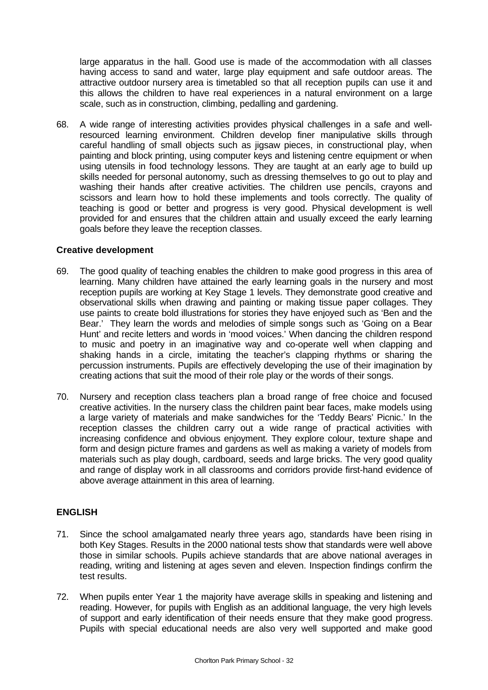large apparatus in the hall. Good use is made of the accommodation with all classes having access to sand and water, large play equipment and safe outdoor areas. The attractive outdoor nursery area is timetabled so that all reception pupils can use it and this allows the children to have real experiences in a natural environment on a large scale, such as in construction, climbing, pedalling and gardening.

68. A wide range of interesting activities provides physical challenges in a safe and wellresourced learning environment. Children develop finer manipulative skills through careful handling of small objects such as jigsaw pieces, in constructional play, when painting and block printing, using computer keys and listening centre equipment or when using utensils in food technology lessons. They are taught at an early age to build up skills needed for personal autonomy, such as dressing themselves to go out to play and washing their hands after creative activities. The children use pencils, crayons and scissors and learn how to hold these implements and tools correctly. The quality of teaching is good or better and progress is very good. Physical development is well provided for and ensures that the children attain and usually exceed the early learning goals before they leave the reception classes.

## **Creative development**

- 69. The good quality of teaching enables the children to make good progress in this area of learning. Many children have attained the early learning goals in the nursery and most reception pupils are working at Key Stage 1 levels. They demonstrate good creative and observational skills when drawing and painting or making tissue paper collages. They use paints to create bold illustrations for stories they have enjoyed such as 'Ben and the Bear.' They learn the words and melodies of simple songs such as 'Going on a Bear Hunt' and recite letters and words in 'mood voices.' When dancing the children respond to music and poetry in an imaginative way and co-operate well when clapping and shaking hands in a circle, imitating the teacher's clapping rhythms or sharing the percussion instruments. Pupils are effectively developing the use of their imagination by creating actions that suit the mood of their role play or the words of their songs.
- 70. Nursery and reception class teachers plan a broad range of free choice and focused creative activities. In the nursery class the children paint bear faces, make models using a large variety of materials and make sandwiches for the 'Teddy Bears' Picnic.' In the reception classes the children carry out a wide range of practical activities with increasing confidence and obvious enjoyment. They explore colour, texture shape and form and design picture frames and gardens as well as making a variety of models from materials such as play dough, cardboard, seeds and large bricks. The very good quality and range of display work in all classrooms and corridors provide first-hand evidence of above average attainment in this area of learning.

## **ENGLISH**

- 71. Since the school amalgamated nearly three years ago, standards have been rising in both Key Stages. Results in the 2000 national tests show that standards were well above those in similar schools. Pupils achieve standards that are above national averages in reading, writing and listening at ages seven and eleven. Inspection findings confirm the test results.
- 72. When pupils enter Year 1 the majority have average skills in speaking and listening and reading. However, for pupils with English as an additional language, the very high levels of support and early identification of their needs ensure that they make good progress. Pupils with special educational needs are also very well supported and make good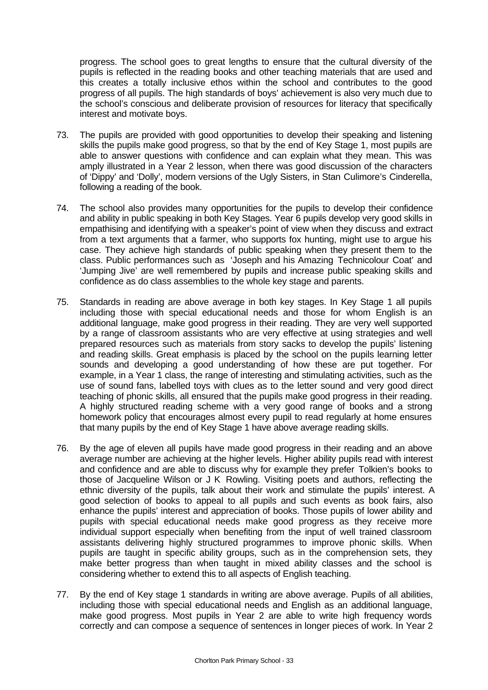progress. The school goes to great lengths to ensure that the cultural diversity of the pupils is reflected in the reading books and other teaching materials that are used and this creates a totally inclusive ethos within the school and contributes to the good progress of all pupils. The high standards of boys' achievement is also very much due to the school's conscious and deliberate provision of resources for literacy that specifically interest and motivate boys.

- 73. The pupils are provided with good opportunities to develop their speaking and listening skills the pupils make good progress, so that by the end of Key Stage 1, most pupils are able to answer questions with confidence and can explain what they mean. This was amply illustrated in a Year 2 lesson, when there was good discussion of the characters of 'Dippy' and 'Dolly', modern versions of the Ugly Sisters, in Stan Culimore's Cinderella, following a reading of the book.
- 74. The school also provides many opportunities for the pupils to develop their confidence and ability in public speaking in both Key Stages. Year 6 pupils develop very good skills in empathising and identifying with a speaker's point of view when they discuss and extract from a text arguments that a farmer, who supports fox hunting, might use to argue his case. They achieve high standards of public speaking when they present them to the class. Public performances such as 'Joseph and his Amazing Technicolour Coat' and 'Jumping Jive' are well remembered by pupils and increase public speaking skills and confidence as do class assemblies to the whole key stage and parents.
- 75. Standards in reading are above average in both key stages. In Key Stage 1 all pupils including those with special educational needs and those for whom English is an additional language, make good progress in their reading. They are very well supported by a range of classroom assistants who are very effective at using strategies and well prepared resources such as materials from story sacks to develop the pupils' listening and reading skills. Great emphasis is placed by the school on the pupils learning letter sounds and developing a good understanding of how these are put together. For example, in a Year 1 class, the range of interesting and stimulating activities, such as the use of sound fans, labelled toys with clues as to the letter sound and very good direct teaching of phonic skills, all ensured that the pupils make good progress in their reading. A highly structured reading scheme with a very good range of books and a strong homework policy that encourages almost every pupil to read regularly at home ensures that many pupils by the end of Key Stage 1 have above average reading skills.
- 76. By the age of eleven all pupils have made good progress in their reading and an above average number are achieving at the higher levels. Higher ability pupils read with interest and confidence and are able to discuss why for example they prefer Tolkien's books to those of Jacqueline Wilson or J K Rowling. Visiting poets and authors, reflecting the ethnic diversity of the pupils, talk about their work and stimulate the pupils' interest. A good selection of books to appeal to all pupils and such events as book fairs, also enhance the pupils' interest and appreciation of books. Those pupils of lower ability and pupils with special educational needs make good progress as they receive more individual support especially when benefiting from the input of well trained classroom assistants delivering highly structured programmes to improve phonic skills. When pupils are taught in specific ability groups, such as in the comprehension sets, they make better progress than when taught in mixed ability classes and the school is considering whether to extend this to all aspects of English teaching.
- 77. By the end of Key stage 1 standards in writing are above average. Pupils of all abilities, including those with special educational needs and English as an additional language, make good progress. Most pupils in Year 2 are able to write high frequency words correctly and can compose a sequence of sentences in longer pieces of work. In Year 2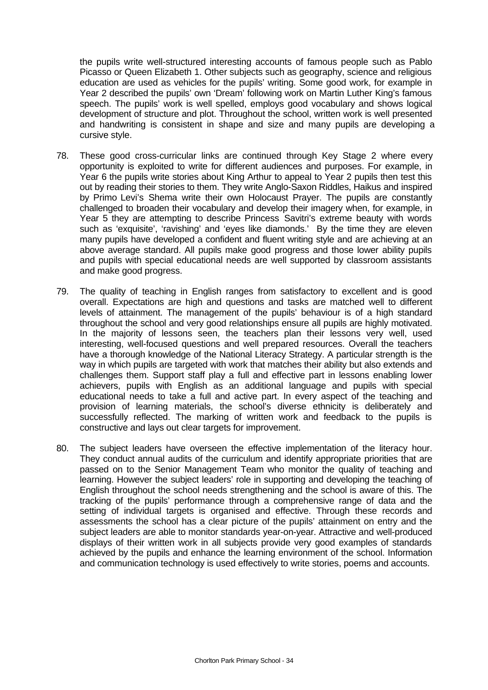the pupils write well-structured interesting accounts of famous people such as Pablo Picasso or Queen Elizabeth 1. Other subjects such as geography, science and religious education are used as vehicles for the pupils' writing. Some good work, for example in Year 2 described the pupils' own 'Dream' following work on Martin Luther King's famous speech. The pupils' work is well spelled, employs good vocabulary and shows logical development of structure and plot. Throughout the school, written work is well presented and handwriting is consistent in shape and size and many pupils are developing a cursive style.

- 78. These good cross-curricular links are continued through Key Stage 2 where every opportunity is exploited to write for different audiences and purposes. For example, in Year 6 the pupils write stories about King Arthur to appeal to Year 2 pupils then test this out by reading their stories to them. They write Anglo-Saxon Riddles, Haikus and inspired by Primo Levi's Shema write their own Holocaust Prayer. The pupils are constantly challenged to broaden their vocabulary and develop their imagery when, for example, in Year 5 they are attempting to describe Princess Savitri's extreme beauty with words such as 'exquisite', 'ravishing' and 'eyes like diamonds.' By the time they are eleven many pupils have developed a confident and fluent writing style and are achieving at an above average standard. All pupils make good progress and those lower ability pupils and pupils with special educational needs are well supported by classroom assistants and make good progress.
- 79. The quality of teaching in English ranges from satisfactory to excellent and is good overall. Expectations are high and questions and tasks are matched well to different levels of attainment. The management of the pupils' behaviour is of a high standard throughout the school and very good relationships ensure all pupils are highly motivated. In the majority of lessons seen, the teachers plan their lessons very well, used interesting, well-focused questions and well prepared resources. Overall the teachers have a thorough knowledge of the National Literacy Strategy. A particular strength is the way in which pupils are targeted with work that matches their ability but also extends and challenges them. Support staff play a full and effective part in lessons enabling lower achievers, pupils with English as an additional language and pupils with special educational needs to take a full and active part. In every aspect of the teaching and provision of learning materials, the school's diverse ethnicity is deliberately and successfully reflected. The marking of written work and feedback to the pupils is constructive and lays out clear targets for improvement.
- 80. The subject leaders have overseen the effective implementation of the literacy hour. They conduct annual audits of the curriculum and identify appropriate priorities that are passed on to the Senior Management Team who monitor the quality of teaching and learning. However the subject leaders' role in supporting and developing the teaching of English throughout the school needs strengthening and the school is aware of this. The tracking of the pupils' performance through a comprehensive range of data and the setting of individual targets is organised and effective. Through these records and assessments the school has a clear picture of the pupils' attainment on entry and the subject leaders are able to monitor standards year-on-year. Attractive and well-produced displays of their written work in all subjects provide very good examples of standards achieved by the pupils and enhance the learning environment of the school. Information and communication technology is used effectively to write stories, poems and accounts.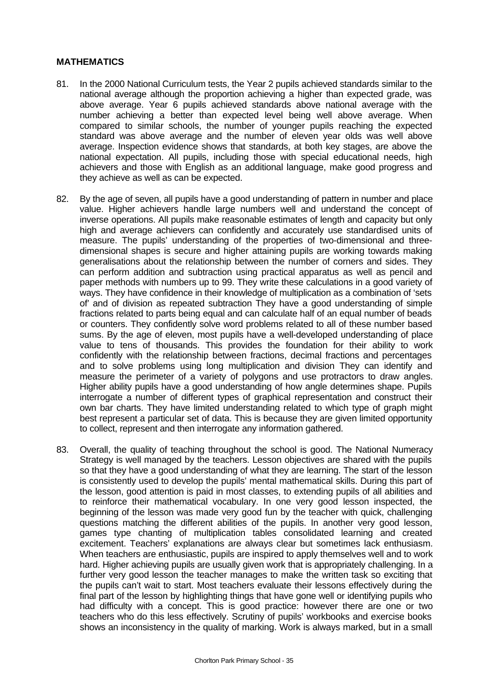## **MATHEMATICS**

- 81. In the 2000 National Curriculum tests, the Year 2 pupils achieved standards similar to the national average although the proportion achieving a higher than expected grade, was above average. Year 6 pupils achieved standards above national average with the number achieving a better than expected level being well above average. When compared to similar schools, the number of younger pupils reaching the expected standard was above average and the number of eleven year olds was well above average. Inspection evidence shows that standards, at both key stages, are above the national expectation. All pupils, including those with special educational needs, high achievers and those with English as an additional language, make good progress and they achieve as well as can be expected.
- 82. By the age of seven, all pupils have a good understanding of pattern in number and place value. Higher achievers handle large numbers well and understand the concept of inverse operations. All pupils make reasonable estimates of length and capacity but only high and average achievers can confidently and accurately use standardised units of measure. The pupils' understanding of the properties of two-dimensional and threedimensional shapes is secure and higher attaining pupils are working towards making generalisations about the relationship between the number of corners and sides. They can perform addition and subtraction using practical apparatus as well as pencil and paper methods with numbers up to 99. They write these calculations in a good variety of ways. They have confidence in their knowledge of multiplication as a combination of 'sets of' and of division as repeated subtraction They have a good understanding of simple fractions related to parts being equal and can calculate half of an equal number of beads or counters. They confidently solve word problems related to all of these number based sums. By the age of eleven, most pupils have a well-developed understanding of place value to tens of thousands. This provides the foundation for their ability to work confidently with the relationship between fractions, decimal fractions and percentages and to solve problems using long multiplication and division They can identify and measure the perimeter of a variety of polygons and use protractors to draw angles. Higher ability pupils have a good understanding of how angle determines shape. Pupils interrogate a number of different types of graphical representation and construct their own bar charts. They have limited understanding related to which type of graph might best represent a particular set of data. This is because they are given limited opportunity to collect, represent and then interrogate any information gathered.
- 83. Overall, the quality of teaching throughout the school is good. The National Numeracy Strategy is well managed by the teachers. Lesson objectives are shared with the pupils so that they have a good understanding of what they are learning. The start of the lesson is consistently used to develop the pupils' mental mathematical skills. During this part of the lesson, good attention is paid in most classes, to extending pupils of all abilities and to reinforce their mathematical vocabulary. In one very good lesson inspected, the beginning of the lesson was made very good fun by the teacher with quick, challenging questions matching the different abilities of the pupils. In another very good lesson, games type chanting of multiplication tables consolidated learning and created excitement. Teachers' explanations are always clear but sometimes lack enthusiasm. When teachers are enthusiastic, pupils are inspired to apply themselves well and to work hard. Higher achieving pupils are usually given work that is appropriately challenging. In a further very good lesson the teacher manages to make the written task so exciting that the pupils can't wait to start. Most teachers evaluate their lessons effectively during the final part of the lesson by highlighting things that have gone well or identifying pupils who had difficulty with a concept. This is good practice: however there are one or two teachers who do this less effectively. Scrutiny of pupils' workbooks and exercise books shows an inconsistency in the quality of marking. Work is always marked, but in a small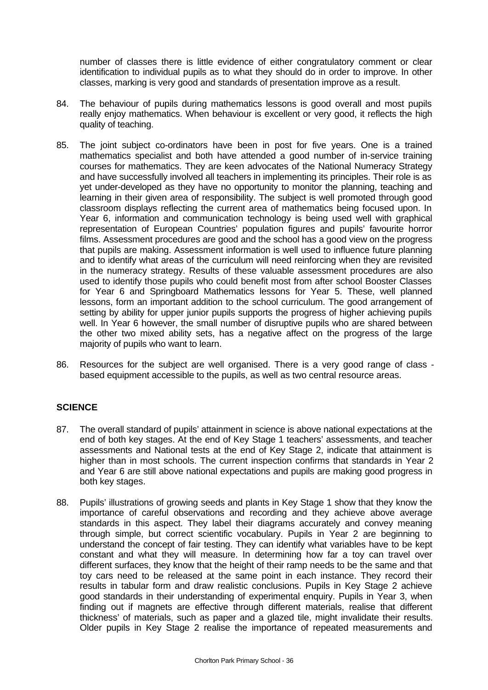number of classes there is little evidence of either congratulatory comment or clear identification to individual pupils as to what they should do in order to improve. In other classes, marking is very good and standards of presentation improve as a result.

- 84. The behaviour of pupils during mathematics lessons is good overall and most pupils really enjoy mathematics. When behaviour is excellent or very good, it reflects the high quality of teaching.
- 85. The joint subject co-ordinators have been in post for five years. One is a trained mathematics specialist and both have attended a good number of in-service training courses for mathematics. They are keen advocates of the National Numeracy Strategy and have successfully involved all teachers in implementing its principles. Their role is as yet under-developed as they have no opportunity to monitor the planning, teaching and learning in their given area of responsibility. The subject is well promoted through good classroom displays reflecting the current area of mathematics being focused upon. In Year 6, information and communication technology is being used well with graphical representation of European Countries' population figures and pupils' favourite horror films. Assessment procedures are good and the school has a good view on the progress that pupils are making. Assessment information is well used to influence future planning and to identify what areas of the curriculum will need reinforcing when they are revisited in the numeracy strategy. Results of these valuable assessment procedures are also used to identify those pupils who could benefit most from after school Booster Classes for Year 6 and Springboard Mathematics lessons for Year 5. These, well planned lessons, form an important addition to the school curriculum. The good arrangement of setting by ability for upper junior pupils supports the progress of higher achieving pupils well. In Year 6 however, the small number of disruptive pupils who are shared between the other two mixed ability sets, has a negative affect on the progress of the large majority of pupils who want to learn.
- 86. Resources for the subject are well organised. There is a very good range of class based equipment accessible to the pupils, as well as two central resource areas.

## **SCIENCE**

- 87. The overall standard of pupils' attainment in science is above national expectations at the end of both key stages. At the end of Key Stage 1 teachers' assessments, and teacher assessments and National tests at the end of Key Stage 2, indicate that attainment is higher than in most schools. The current inspection confirms that standards in Year 2 and Year 6 are still above national expectations and pupils are making good progress in both key stages.
- 88. Pupils' illustrations of growing seeds and plants in Key Stage 1 show that they know the importance of careful observations and recording and they achieve above average standards in this aspect. They label their diagrams accurately and convey meaning through simple, but correct scientific vocabulary. Pupils in Year 2 are beginning to understand the concept of fair testing. They can identify what variables have to be kept constant and what they will measure. In determining how far a toy can travel over different surfaces, they know that the height of their ramp needs to be the same and that toy cars need to be released at the same point in each instance. They record their results in tabular form and draw realistic conclusions. Pupils in Key Stage 2 achieve good standards in their understanding of experimental enquiry. Pupils in Year 3, when finding out if magnets are effective through different materials, realise that different thickness' of materials, such as paper and a glazed tile, might invalidate their results. Older pupils in Key Stage 2 realise the importance of repeated measurements and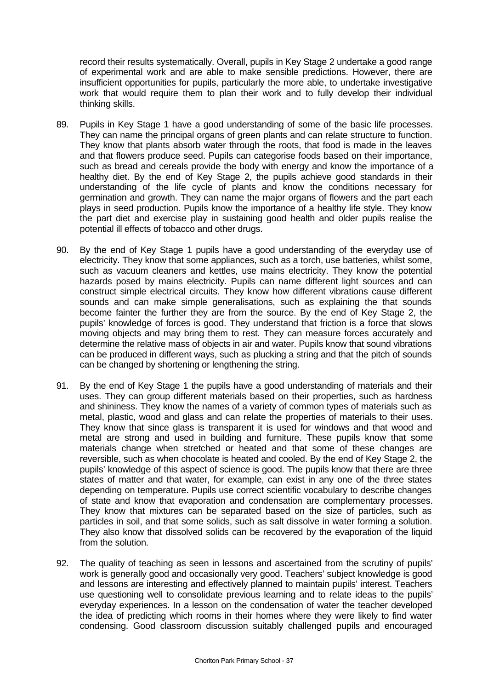record their results systematically. Overall, pupils in Key Stage 2 undertake a good range of experimental work and are able to make sensible predictions. However, there are insufficient opportunities for pupils, particularly the more able, to undertake investigative work that would require them to plan their work and to fully develop their individual thinking skills.

- 89. Pupils in Key Stage 1 have a good understanding of some of the basic life processes. They can name the principal organs of green plants and can relate structure to function. They know that plants absorb water through the roots, that food is made in the leaves and that flowers produce seed. Pupils can categorise foods based on their importance, such as bread and cereals provide the body with energy and know the importance of a healthy diet. By the end of Key Stage 2, the pupils achieve good standards in their understanding of the life cycle of plants and know the conditions necessary for germination and growth. They can name the major organs of flowers and the part each plays in seed production. Pupils know the importance of a healthy life style. They know the part diet and exercise play in sustaining good health and older pupils realise the potential ill effects of tobacco and other drugs.
- 90. By the end of Key Stage 1 pupils have a good understanding of the everyday use of electricity. They know that some appliances, such as a torch, use batteries, whilst some, such as vacuum cleaners and kettles, use mains electricity. They know the potential hazards posed by mains electricity. Pupils can name different light sources and can construct simple electrical circuits. They know how different vibrations cause different sounds and can make simple generalisations, such as explaining the that sounds become fainter the further they are from the source. By the end of Key Stage 2, the pupils' knowledge of forces is good. They understand that friction is a force that slows moving objects and may bring them to rest. They can measure forces accurately and determine the relative mass of objects in air and water. Pupils know that sound vibrations can be produced in different ways, such as plucking a string and that the pitch of sounds can be changed by shortening or lengthening the string.
- 91. By the end of Key Stage 1 the pupils have a good understanding of materials and their uses. They can group different materials based on their properties, such as hardness and shininess. They know the names of a variety of common types of materials such as metal, plastic, wood and glass and can relate the properties of materials to their uses. They know that since glass is transparent it is used for windows and that wood and metal are strong and used in building and furniture. These pupils know that some materials change when stretched or heated and that some of these changes are reversible, such as when chocolate is heated and cooled. By the end of Key Stage 2, the pupils' knowledge of this aspect of science is good. The pupils know that there are three states of matter and that water, for example, can exist in any one of the three states depending on temperature. Pupils use correct scientific vocabulary to describe changes of state and know that evaporation and condensation are complementary processes. They know that mixtures can be separated based on the size of particles, such as particles in soil, and that some solids, such as salt dissolve in water forming a solution. They also know that dissolved solids can be recovered by the evaporation of the liquid from the solution.
- 92. The quality of teaching as seen in lessons and ascertained from the scrutiny of pupils' work is generally good and occasionally very good. Teachers' subject knowledge is good and lessons are interesting and effectively planned to maintain pupils' interest. Teachers use questioning well to consolidate previous learning and to relate ideas to the pupils' everyday experiences. In a lesson on the condensation of water the teacher developed the idea of predicting which rooms in their homes where they were likely to find water condensing. Good classroom discussion suitably challenged pupils and encouraged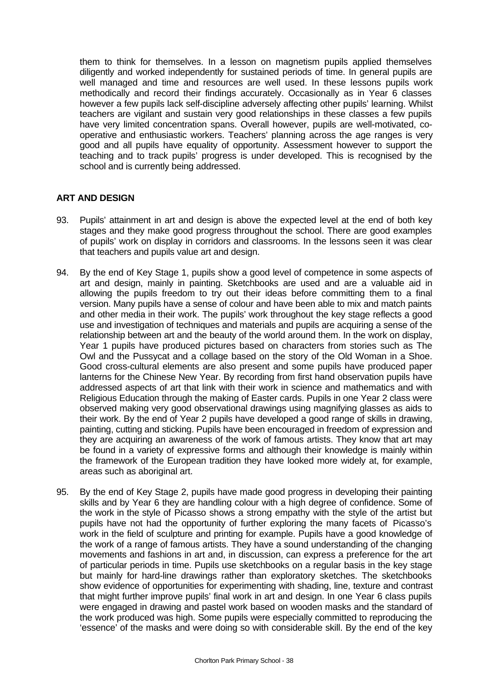them to think for themselves. In a lesson on magnetism pupils applied themselves diligently and worked independently for sustained periods of time. In general pupils are well managed and time and resources are well used. In these lessons pupils work methodically and record their findings accurately. Occasionally as in Year 6 classes however a few pupils lack self-discipline adversely affecting other pupils' learning. Whilst teachers are vigilant and sustain very good relationships in these classes a few pupils have very limited concentration spans. Overall however, pupils are well-motivated, cooperative and enthusiastic workers. Teachers' planning across the age ranges is very good and all pupils have equality of opportunity. Assessment however to support the teaching and to track pupils' progress is under developed. This is recognised by the school and is currently being addressed.

## **ART AND DESIGN**

- 93. Pupils' attainment in art and design is above the expected level at the end of both key stages and they make good progress throughout the school. There are good examples of pupils' work on display in corridors and classrooms. In the lessons seen it was clear that teachers and pupils value art and design.
- 94. By the end of Key Stage 1, pupils show a good level of competence in some aspects of art and design, mainly in painting. Sketchbooks are used and are a valuable aid in allowing the pupils freedom to try out their ideas before committing them to a final version. Many pupils have a sense of colour and have been able to mix and match paints and other media in their work. The pupils' work throughout the key stage reflects a good use and investigation of techniques and materials and pupils are acquiring a sense of the relationship between art and the beauty of the world around them. In the work on display, Year 1 pupils have produced pictures based on characters from stories such as The Owl and the Pussycat and a collage based on the story of the Old Woman in a Shoe. Good cross-cultural elements are also present and some pupils have produced paper lanterns for the Chinese New Year. By recording from first hand observation pupils have addressed aspects of art that link with their work in science and mathematics and with Religious Education through the making of Easter cards. Pupils in one Year 2 class were observed making very good observational drawings using magnifying glasses as aids to their work. By the end of Year 2 pupils have developed a good range of skills in drawing, painting, cutting and sticking. Pupils have been encouraged in freedom of expression and they are acquiring an awareness of the work of famous artists. They know that art may be found in a variety of expressive forms and although their knowledge is mainly within the framework of the European tradition they have looked more widely at, for example, areas such as aboriginal art.
- 95. By the end of Key Stage 2, pupils have made good progress in developing their painting skills and by Year 6 they are handling colour with a high degree of confidence. Some of the work in the style of Picasso shows a strong empathy with the style of the artist but pupils have not had the opportunity of further exploring the many facets of Picasso's work in the field of sculpture and printing for example. Pupils have a good knowledge of the work of a range of famous artists. They have a sound understanding of the changing movements and fashions in art and, in discussion, can express a preference for the art of particular periods in time. Pupils use sketchbooks on a regular basis in the key stage but mainly for hard-line drawings rather than exploratory sketches. The sketchbooks show evidence of opportunities for experimenting with shading, line, texture and contrast that might further improve pupils' final work in art and design. In one Year 6 class pupils were engaged in drawing and pastel work based on wooden masks and the standard of the work produced was high. Some pupils were especially committed to reproducing the 'essence' of the masks and were doing so with considerable skill. By the end of the key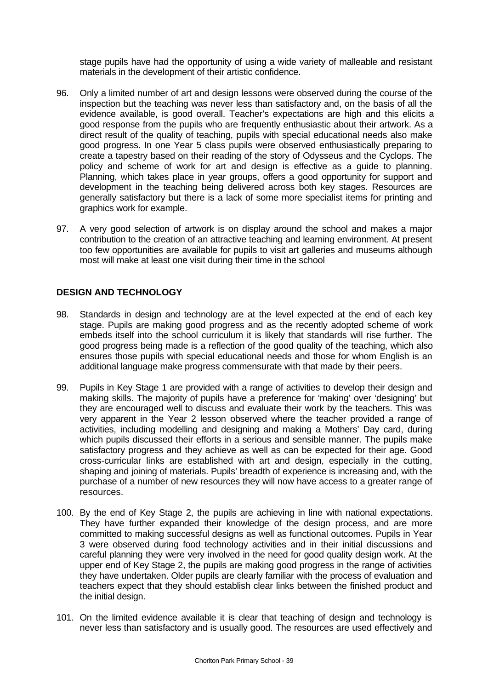stage pupils have had the opportunity of using a wide variety of malleable and resistant materials in the development of their artistic confidence.

- 96. Only a limited number of art and design lessons were observed during the course of the inspection but the teaching was never less than satisfactory and, on the basis of all the evidence available, is good overall. Teacher's expectations are high and this elicits a good response from the pupils who are frequently enthusiastic about their artwork. As a direct result of the quality of teaching, pupils with special educational needs also make good progress. In one Year 5 class pupils were observed enthusiastically preparing to create a tapestry based on their reading of the story of Odysseus and the Cyclops. The policy and scheme of work for art and design is effective as a guide to planning. Planning, which takes place in year groups, offers a good opportunity for support and development in the teaching being delivered across both key stages. Resources are generally satisfactory but there is a lack of some more specialist items for printing and graphics work for example.
- 97. A very good selection of artwork is on display around the school and makes a major contribution to the creation of an attractive teaching and learning environment. At present too few opportunities are available for pupils to visit art galleries and museums although most will make at least one visit during their time in the school

## **DESIGN AND TECHNOLOGY**

- 98. Standards in design and technology are at the level expected at the end of each key stage. Pupils are making good progress and as the recently adopted scheme of work embeds itself into the school curriculum it is likely that standards will rise further. The good progress being made is a reflection of the good quality of the teaching, which also ensures those pupils with special educational needs and those for whom English is an additional language make progress commensurate with that made by their peers.
- 99. Pupils in Key Stage 1 are provided with a range of activities to develop their design and making skills. The majority of pupils have a preference for 'making' over 'designing' but they are encouraged well to discuss and evaluate their work by the teachers. This was very apparent in the Year 2 lesson observed where the teacher provided a range of activities, including modelling and designing and making a Mothers' Day card, during which pupils discussed their efforts in a serious and sensible manner. The pupils make satisfactory progress and they achieve as well as can be expected for their age. Good cross-curricular links are established with art and design, especially in the cutting, shaping and joining of materials. Pupils' breadth of experience is increasing and, with the purchase of a number of new resources they will now have access to a greater range of resources.
- 100. By the end of Key Stage 2, the pupils are achieving in line with national expectations. They have further expanded their knowledge of the design process, and are more committed to making successful designs as well as functional outcomes. Pupils in Year 3 were observed during food technology activities and in their initial discussions and careful planning they were very involved in the need for good quality design work. At the upper end of Key Stage 2, the pupils are making good progress in the range of activities they have undertaken. Older pupils are clearly familiar with the process of evaluation and teachers expect that they should establish clear links between the finished product and the initial design.
- 101. On the limited evidence available it is clear that teaching of design and technology is never less than satisfactory and is usually good. The resources are used effectively and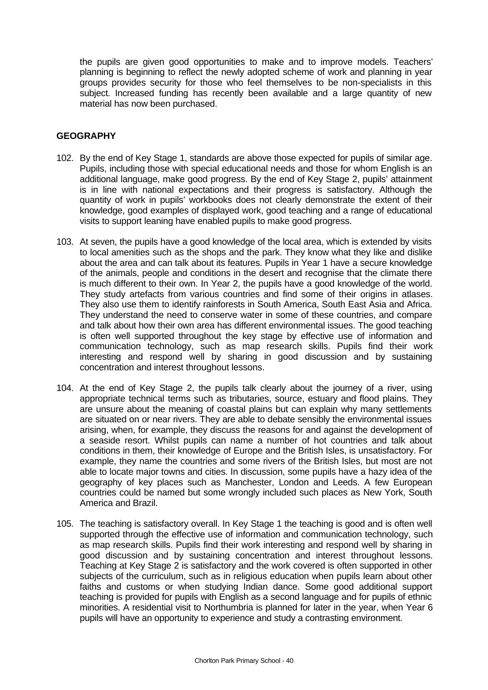the pupils are given good opportunities to make and to improve models. Teachers' planning is beginning to reflect the newly adopted scheme of work and planning in year groups provides security for those who feel themselves to be non-specialists in this subject. Increased funding has recently been available and a large quantity of new material has now been purchased.

## **GEOGRAPHY**

- 102. By the end of Key Stage 1, standards are above those expected for pupils of similar age. Pupils, including those with special educational needs and those for whom English is an additional language, make good progress. By the end of Key Stage 2, pupils' attainment is in line with national expectations and their progress is satisfactory. Although the quantity of work in pupils' workbooks does not clearly demonstrate the extent of their knowledge, good examples of displayed work, good teaching and a range of educational visits to support leaning have enabled pupils to make good progress.
- 103. At seven, the pupils have a good knowledge of the local area, which is extended by visits to local amenities such as the shops and the park. They know what they like and dislike about the area and can talk about its features. Pupils in Year 1 have a secure knowledge of the animals, people and conditions in the desert and recognise that the climate there is much different to their own. In Year 2, the pupils have a good knowledge of the world. They study artefacts from various countries and find some of their origins in atlases. They also use them to identify rainforests in South America, South East Asia and Africa. They understand the need to conserve water in some of these countries, and compare and talk about how their own area has different environmental issues. The good teaching is often well supported throughout the key stage by effective use of information and communication technology, such as map research skills. Pupils find their work interesting and respond well by sharing in good discussion and by sustaining concentration and interest throughout lessons.
- 104. At the end of Key Stage 2, the pupils talk clearly about the journey of a river, using appropriate technical terms such as tributaries, source, estuary and flood plains. They are unsure about the meaning of coastal plains but can explain why many settlements are situated on or near rivers. They are able to debate sensibly the environmental issues arising, when, for example, they discuss the reasons for and against the development of a seaside resort. Whilst pupils can name a number of hot countries and talk about conditions in them, their knowledge of Europe and the British Isles, is unsatisfactory. For example, they name the countries and some rivers of the British Isles, but most are not able to locate major towns and cities. In discussion, some pupils have a hazy idea of the geography of key places such as Manchester, London and Leeds. A few European countries could be named but some wrongly included such places as New York, South America and Brazil.
- 105. The teaching is satisfactory overall. In Key Stage 1 the teaching is good and is often well supported through the effective use of information and communication technology, such as map research skills. Pupils find their work interesting and respond well by sharing in good discussion and by sustaining concentration and interest throughout lessons. Teaching at Key Stage 2 is satisfactory and the work covered is often supported in other subjects of the curriculum, such as in religious education when pupils learn about other faiths and customs or when studying Indian dance. Some good additional support teaching is provided for pupils with English as a second language and for pupils of ethnic minorities. A residential visit to Northumbria is planned for later in the year, when Year 6 pupils will have an opportunity to experience and study a contrasting environment.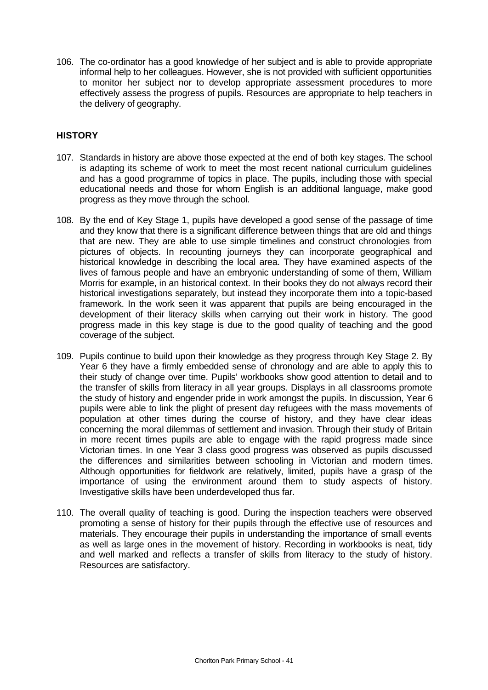106. The co-ordinator has a good knowledge of her subject and is able to provide appropriate informal help to her colleagues. However, she is not provided with sufficient opportunities to monitor her subject nor to develop appropriate assessment procedures to more effectively assess the progress of pupils. Resources are appropriate to help teachers in the delivery of geography.

## **HISTORY**

- 107. Standards in history are above those expected at the end of both key stages. The school is adapting its scheme of work to meet the most recent national curriculum guidelines and has a good programme of topics in place. The pupils, including those with special educational needs and those for whom English is an additional language, make good progress as they move through the school.
- 108. By the end of Key Stage 1, pupils have developed a good sense of the passage of time and they know that there is a significant difference between things that are old and things that are new. They are able to use simple timelines and construct chronologies from pictures of objects. In recounting journeys they can incorporate geographical and historical knowledge in describing the local area. They have examined aspects of the lives of famous people and have an embryonic understanding of some of them, William Morris for example, in an historical context. In their books they do not always record their historical investigations separately, but instead they incorporate them into a topic-based framework. In the work seen it was apparent that pupils are being encouraged in the development of their literacy skills when carrying out their work in history. The good progress made in this key stage is due to the good quality of teaching and the good coverage of the subject.
- 109. Pupils continue to build upon their knowledge as they progress through Key Stage 2. By Year 6 they have a firmly embedded sense of chronology and are able to apply this to their study of change over time. Pupils' workbooks show good attention to detail and to the transfer of skills from literacy in all year groups. Displays in all classrooms promote the study of history and engender pride in work amongst the pupils. In discussion, Year 6 pupils were able to link the plight of present day refugees with the mass movements of population at other times during the course of history, and they have clear ideas concerning the moral dilemmas of settlement and invasion. Through their study of Britain in more recent times pupils are able to engage with the rapid progress made since Victorian times. In one Year 3 class good progress was observed as pupils discussed the differences and similarities between schooling in Victorian and modern times. Although opportunities for fieldwork are relatively, limited, pupils have a grasp of the importance of using the environment around them to study aspects of history. Investigative skills have been underdeveloped thus far.
- 110. The overall quality of teaching is good. During the inspection teachers were observed promoting a sense of history for their pupils through the effective use of resources and materials. They encourage their pupils in understanding the importance of small events as well as large ones in the movement of history. Recording in workbooks is neat, tidy and well marked and reflects a transfer of skills from literacy to the study of history. Resources are satisfactory.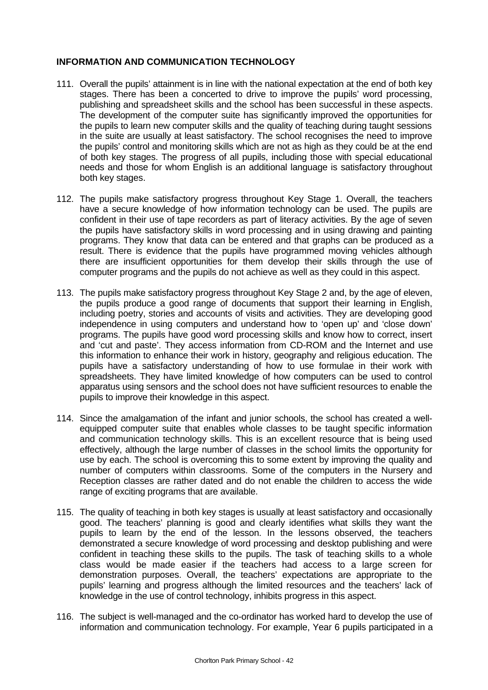## **INFORMATION AND COMMUNICATION TECHNOLOGY**

- 111. Overall the pupils' attainment is in line with the national expectation at the end of both key stages. There has been a concerted to drive to improve the pupils' word processing, publishing and spreadsheet skills and the school has been successful in these aspects. The development of the computer suite has significantly improved the opportunities for the pupils to learn new computer skills and the quality of teaching during taught sessions in the suite are usually at least satisfactory. The school recognises the need to improve the pupils' control and monitoring skills which are not as high as they could be at the end of both key stages. The progress of all pupils, including those with special educational needs and those for whom English is an additional language is satisfactory throughout both key stages.
- 112. The pupils make satisfactory progress throughout Key Stage 1. Overall, the teachers have a secure knowledge of how information technology can be used. The pupils are confident in their use of tape recorders as part of literacy activities. By the age of seven the pupils have satisfactory skills in word processing and in using drawing and painting programs. They know that data can be entered and that graphs can be produced as a result. There is evidence that the pupils have programmed moving vehicles although there are insufficient opportunities for them develop their skills through the use of computer programs and the pupils do not achieve as well as they could in this aspect.
- 113. The pupils make satisfactory progress throughout Key Stage 2 and, by the age of eleven, the pupils produce a good range of documents that support their learning in English, including poetry, stories and accounts of visits and activities. They are developing good independence in using computers and understand how to 'open up' and 'close down' programs. The pupils have good word processing skills and know how to correct, insert and 'cut and paste'. They access information from CD-ROM and the Internet and use this information to enhance their work in history, geography and religious education. The pupils have a satisfactory understanding of how to use formulae in their work with spreadsheets. They have limited knowledge of how computers can be used to control apparatus using sensors and the school does not have sufficient resources to enable the pupils to improve their knowledge in this aspect.
- 114. Since the amalgamation of the infant and junior schools, the school has created a wellequipped computer suite that enables whole classes to be taught specific information and communication technology skills. This is an excellent resource that is being used effectively, although the large number of classes in the school limits the opportunity for use by each. The school is overcoming this to some extent by improving the quality and number of computers within classrooms. Some of the computers in the Nursery and Reception classes are rather dated and do not enable the children to access the wide range of exciting programs that are available.
- 115. The quality of teaching in both key stages is usually at least satisfactory and occasionally good. The teachers' planning is good and clearly identifies what skills they want the pupils to learn by the end of the lesson. In the lessons observed, the teachers demonstrated a secure knowledge of word processing and desktop publishing and were confident in teaching these skills to the pupils. The task of teaching skills to a whole class would be made easier if the teachers had access to a large screen for demonstration purposes. Overall, the teachers' expectations are appropriate to the pupils' learning and progress although the limited resources and the teachers' lack of knowledge in the use of control technology, inhibits progress in this aspect.
- 116. The subject is well-managed and the co-ordinator has worked hard to develop the use of information and communication technology. For example, Year 6 pupils participated in a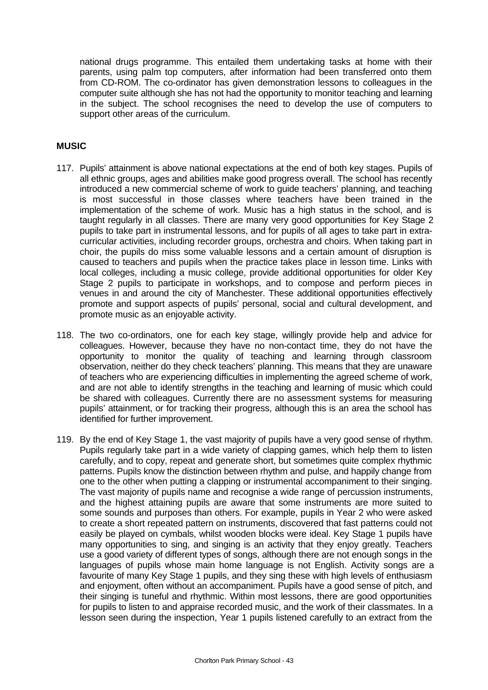national drugs programme. This entailed them undertaking tasks at home with their parents, using palm top computers, after information had been transferred onto them from CD-ROM. The co-ordinator has given demonstration lessons to colleagues in the computer suite although she has not had the opportunity to monitor teaching and learning in the subject. The school recognises the need to develop the use of computers to support other areas of the curriculum.

## **MUSIC**

- 117. Pupils' attainment is above national expectations at the end of both key stages. Pupils of all ethnic groups, ages and abilities make good progress overall. The school has recently introduced a new commercial scheme of work to guide teachers' planning, and teaching is most successful in those classes where teachers have been trained in the implementation of the scheme of work. Music has a high status in the school, and is taught regularly in all classes. There are many very good opportunities for Key Stage 2 pupils to take part in instrumental lessons, and for pupils of all ages to take part in extracurricular activities, including recorder groups, orchestra and choirs. When taking part in choir, the pupils do miss some valuable lessons and a certain amount of disruption is caused to teachers and pupils when the practice takes place in lesson time. Links with local colleges, including a music college, provide additional opportunities for older Key Stage 2 pupils to participate in workshops, and to compose and perform pieces in venues in and around the city of Manchester. These additional opportunities effectively promote and support aspects of pupils' personal, social and cultural development, and promote music as an enjoyable activity.
- 118. The two co-ordinators, one for each key stage, willingly provide help and advice for colleagues. However, because they have no non-contact time, they do not have the opportunity to monitor the quality of teaching and learning through classroom observation, neither do they check teachers' planning. This means that they are unaware of teachers who are experiencing difficulties in implementing the agreed scheme of work, and are not able to identify strengths in the teaching and learning of music which could be shared with colleagues. Currently there are no assessment systems for measuring pupils' attainment, or for tracking their progress, although this is an area the school has identified for further improvement.
- 119. By the end of Key Stage 1, the vast majority of pupils have a very good sense of rhythm. Pupils regularly take part in a wide variety of clapping games, which help them to listen carefully, and to copy, repeat and generate short, but sometimes quite complex rhythmic patterns. Pupils know the distinction between rhythm and pulse, and happily change from one to the other when putting a clapping or instrumental accompaniment to their singing. The vast majority of pupils name and recognise a wide range of percussion instruments, and the highest attaining pupils are aware that some instruments are more suited to some sounds and purposes than others. For example, pupils in Year 2 who were asked to create a short repeated pattern on instruments, discovered that fast patterns could not easily be played on cymbals, whilst wooden blocks were ideal. Key Stage 1 pupils have many opportunities to sing, and singing is an activity that they enjoy greatly. Teachers use a good variety of different types of songs, although there are not enough songs in the languages of pupils whose main home language is not English. Activity songs are a favourite of many Key Stage 1 pupils, and they sing these with high levels of enthusiasm and enjoyment, often without an accompaniment. Pupils have a good sense of pitch, and their singing is tuneful and rhythmic. Within most lessons, there are good opportunities for pupils to listen to and appraise recorded music, and the work of their classmates. In a lesson seen during the inspection, Year 1 pupils listened carefully to an extract from the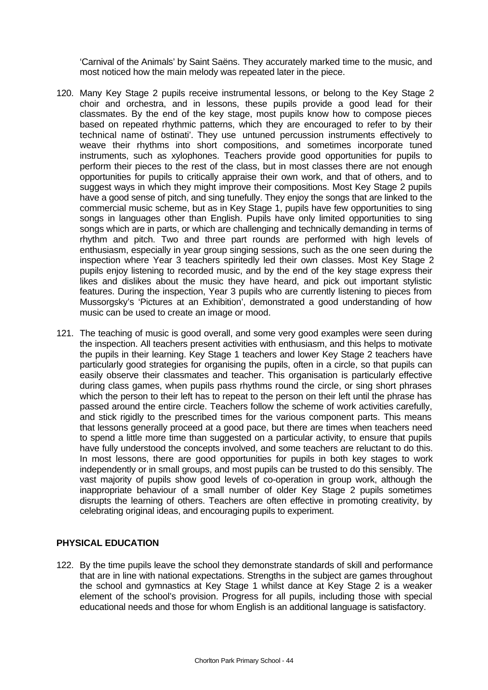'Carnival of the Animals' by Saint Saëns. They accurately marked time to the music, and most noticed how the main melody was repeated later in the piece.

- 120. Many Key Stage 2 pupils receive instrumental lessons, or belong to the Key Stage 2 choir and orchestra, and in lessons, these pupils provide a good lead for their classmates. By the end of the key stage, most pupils know how to compose pieces based on repeated rhythmic patterns, which they are encouraged to refer to by their technical name of bstinati'. They use untuned percussion instruments effectively to weave their rhythms into short compositions, and sometimes incorporate tuned instruments, such as xylophones. Teachers provide good opportunities for pupils to perform their pieces to the rest of the class, but in most classes there are not enough opportunities for pupils to critically appraise their own work, and that of others, and to suggest ways in which they might improve their compositions. Most Key Stage 2 pupils have a good sense of pitch, and sing tunefully. They enjoy the songs that are linked to the commercial music scheme, but as in Key Stage 1, pupils have few opportunities to sing songs in languages other than English. Pupils have only limited opportunities to sing songs which are in parts, or which are challenging and technically demanding in terms of rhythm and pitch. Two and three part rounds are performed with high levels of enthusiasm, especially in year group singing sessions, such as the one seen during the inspection where Year 3 teachers spiritedly led their own classes. Most Key Stage 2 pupils enjoy listening to recorded music, and by the end of the key stage express their likes and dislikes about the music they have heard, and pick out important stylistic features. During the inspection, Year 3 pupils who are currently listening to pieces from Mussorgsky's 'Pictures at an Exhibition', demonstrated a good understanding of how music can be used to create an image or mood.
- 121. The teaching of music is good overall, and some very good examples were seen during the inspection. All teachers present activities with enthusiasm, and this helps to motivate the pupils in their learning. Key Stage 1 teachers and lower Key Stage 2 teachers have particularly good strategies for organising the pupils, often in a circle, so that pupils can easily observe their classmates and teacher. This organisation is particularly effective during class games, when pupils pass rhythms round the circle, or sing short phrases which the person to their left has to repeat to the person on their left until the phrase has passed around the entire circle. Teachers follow the scheme of work activities carefully, and stick rigidly to the prescribed times for the various component parts. This means that lessons generally proceed at a good pace, but there are times when teachers need to spend a little more time than suggested on a particular activity, to ensure that pupils have fully understood the concepts involved, and some teachers are reluctant to do this. In most lessons, there are good opportunities for pupils in both key stages to work independently or in small groups, and most pupils can be trusted to do this sensibly. The vast majority of pupils show good levels of co-operation in group work, although the inappropriate behaviour of a small number of older Key Stage 2 pupils sometimes disrupts the learning of others. Teachers are often effective in promoting creativity, by celebrating original ideas, and encouraging pupils to experiment.

## **PHYSICAL EDUCATION**

122. By the time pupils leave the school they demonstrate standards of skill and performance that are in line with national expectations. Strengths in the subject are games throughout the school and gymnastics at Key Stage 1 whilst dance at Key Stage 2 is a weaker element of the school's provision. Progress for all pupils, including those with special educational needs and those for whom English is an additional language is satisfactory.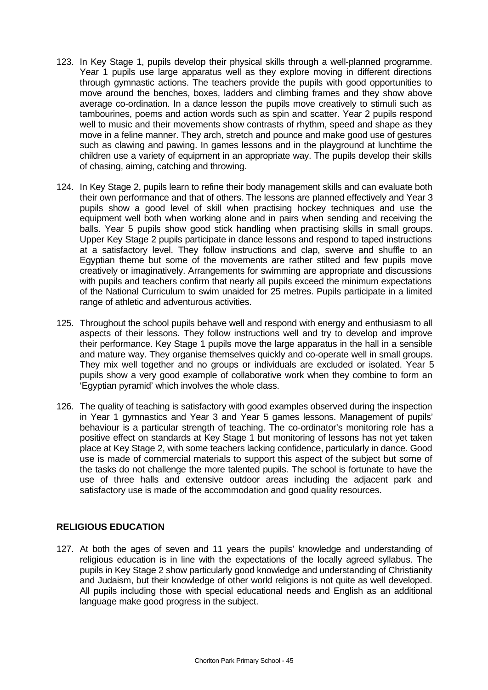- 123. In Key Stage 1, pupils develop their physical skills through a well-planned programme. Year 1 pupils use large apparatus well as they explore moving in different directions through gymnastic actions. The teachers provide the pupils with good opportunities to move around the benches, boxes, ladders and climbing frames and they show above average co-ordination. In a dance lesson the pupils move creatively to stimuli such as tambourines, poems and action words such as spin and scatter. Year 2 pupils respond well to music and their movements show contrasts of rhythm, speed and shape as they move in a feline manner. They arch, stretch and pounce and make good use of gestures such as clawing and pawing. In games lessons and in the playground at lunchtime the children use a variety of equipment in an appropriate way. The pupils develop their skills of chasing, aiming, catching and throwing.
- 124. In Key Stage 2, pupils learn to refine their body management skills and can evaluate both their own performance and that of others. The lessons are planned effectively and Year 3 pupils show a good level of skill when practising hockey techniques and use the equipment well both when working alone and in pairs when sending and receiving the balls. Year 5 pupils show good stick handling when practising skills in small groups. Upper Key Stage 2 pupils participate in dance lessons and respond to taped instructions at a satisfactory level. They follow instructions and clap, swerve and shuffle to an Egyptian theme but some of the movements are rather stilted and few pupils move creatively or imaginatively. Arrangements for swimming are appropriate and discussions with pupils and teachers confirm that nearly all pupils exceed the minimum expectations of the National Curriculum to swim unaided for 25 metres. Pupils participate in a limited range of athletic and adventurous activities.
- 125. Throughout the school pupils behave well and respond with energy and enthusiasm to all aspects of their lessons. They follow instructions well and try to develop and improve their performance. Key Stage 1 pupils move the large apparatus in the hall in a sensible and mature way. They organise themselves quickly and co-operate well in small groups. They mix well together and no groups or individuals are excluded or isolated. Year 5 pupils show a very good example of collaborative work when they combine to form an 'Egyptian pyramid' which involves the whole class.
- 126. The quality of teaching is satisfactory with good examples observed during the inspection in Year 1 gymnastics and Year 3 and Year 5 games lessons. Management of pupils' behaviour is a particular strength of teaching. The co-ordinator's monitoring role has a positive effect on standards at Key Stage 1 but monitoring of lessons has not yet taken place at Key Stage 2, with some teachers lacking confidence, particularly in dance. Good use is made of commercial materials to support this aspect of the subject but some of the tasks do not challenge the more talented pupils. The school is fortunate to have the use of three halls and extensive outdoor areas including the adjacent park and satisfactory use is made of the accommodation and good quality resources.

## **RELIGIOUS EDUCATION**

127. At both the ages of seven and 11 years the pupils' knowledge and understanding of religious education is in line with the expectations of the locally agreed syllabus. The pupils in Key Stage 2 show particularly good knowledge and understanding of Christianity and Judaism, but their knowledge of other world religions is not quite as well developed. All pupils including those with special educational needs and English as an additional language make good progress in the subject.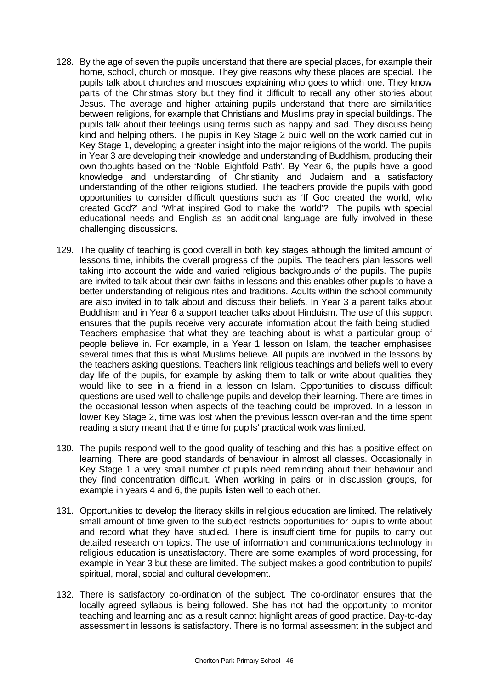- 128. By the age of seven the pupils understand that there are special places, for example their home, school, church or mosque. They give reasons why these places are special. The pupils talk about churches and mosques explaining who goes to which one. They know parts of the Christmas story but they find it difficult to recall any other stories about Jesus. The average and higher attaining pupils understand that there are similarities between religions, for example that Christians and Muslims pray in special buildings. The pupils talk about their feelings using terms such as happy and sad. They discuss being kind and helping others. The pupils in Key Stage 2 build well on the work carried out in Key Stage 1, developing a greater insight into the major religions of the world. The pupils in Year 3 are developing their knowledge and understanding of Buddhism, producing their own thoughts based on the 'Noble Eightfold Path'. By Year 6, the pupils have a good knowledge and understanding of Christianity and Judaism and a satisfactory understanding of the other religions studied. The teachers provide the pupils with good opportunities to consider difficult questions such as 'If God created the world, who created God?' and 'What inspired God to make the world'? The pupils with special educational needs and English as an additional language are fully involved in these challenging discussions.
- 129. The quality of teaching is good overall in both key stages although the limited amount of lessons time, inhibits the overall progress of the pupils. The teachers plan lessons well taking into account the wide and varied religious backgrounds of the pupils. The pupils are invited to talk about their own faiths in lessons and this enables other pupils to have a better understanding of religious rites and traditions. Adults within the school community are also invited in to talk about and discuss their beliefs. In Year 3 a parent talks about Buddhism and in Year 6 a support teacher talks about Hinduism. The use of this support ensures that the pupils receive very accurate information about the faith being studied. Teachers emphasise that what they are teaching about is what a particular group of people believe in. For example, in a Year 1 lesson on Islam, the teacher emphasises several times that this is what Muslims believe. All pupils are involved in the lessons by the teachers asking questions. Teachers link religious teachings and beliefs well to every day life of the pupils, for example by asking them to talk or write about qualities they would like to see in a friend in a lesson on Islam. Opportunities to discuss difficult questions are used well to challenge pupils and develop their learning. There are times in the occasional lesson when aspects of the teaching could be improved. In a lesson in lower Key Stage 2, time was lost when the previous lesson over-ran and the time spent reading a story meant that the time for pupils' practical work was limited.
- 130. The pupils respond well to the good quality of teaching and this has a positive effect on learning. There are good standards of behaviour in almost all classes. Occasionally in Key Stage 1 a very small number of pupils need reminding about their behaviour and they find concentration difficult. When working in pairs or in discussion groups, for example in years 4 and 6, the pupils listen well to each other.
- 131. Opportunities to develop the literacy skills in religious education are limited. The relatively small amount of time given to the subject restricts opportunities for pupils to write about and record what they have studied. There is insufficient time for pupils to carry out detailed research on topics. The use of information and communications technology in religious education is unsatisfactory. There are some examples of word processing, for example in Year 3 but these are limited. The subject makes a good contribution to pupils' spiritual, moral, social and cultural development.
- 132. There is satisfactory co-ordination of the subject. The co-ordinator ensures that the locally agreed syllabus is being followed. She has not had the opportunity to monitor teaching and learning and as a result cannot highlight areas of good practice. Day-to-day assessment in lessons is satisfactory. There is no formal assessment in the subject and